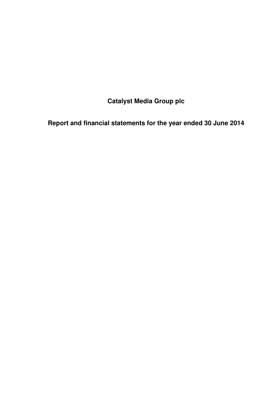**Catalyst Media Group plc** 

**Report and financial statements for the year ended 30 June 2014**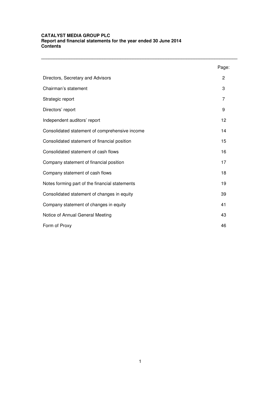|                                                | Page:          |
|------------------------------------------------|----------------|
| Directors, Secretary and Advisors              | 2              |
| Chairman's statement                           | 3              |
| Strategic report                               | $\overline{7}$ |
| Directors' report                              | 9              |
| Independent auditors' report                   | 12             |
| Consolidated statement of comprehensive income | 14             |
| Consolidated statement of financial position   | 15             |
| Consolidated statement of cash flows           | 16             |
| Company statement of financial position        | 17             |
| Company statement of cash flows                | 18             |
| Notes forming part of the financial statements | 19             |
| Consolidated statement of changes in equity    | 39             |
| Company statement of changes in equity         | 41             |
| Notice of Annual General Meeting               | 43             |
| Form of Proxy                                  | 46             |

**\_\_\_\_\_\_\_\_\_\_\_\_\_\_\_\_\_\_\_\_\_\_\_\_\_\_\_\_\_\_\_\_\_\_\_\_\_\_\_\_\_\_\_\_\_\_\_\_\_\_\_\_\_\_\_\_\_\_\_\_\_\_\_\_\_\_\_\_\_\_\_\_\_\_\_\_\_**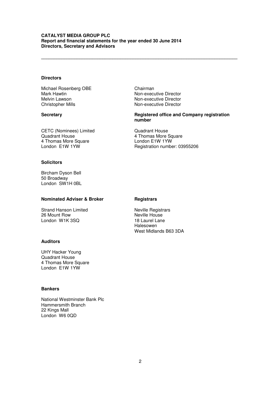# **CATALYST MEDIA GROUP PLC Report and financial statements for the year ended 30 June 2014 Directors, Secretary and Advisors**

# **Directors**

Michael Rosenberg OBE Chairman Mark Hawtin Non-executive Director Melvin Lawson Non-executive Director

Christopher Mills Non-executive Director

**\_\_\_\_\_\_\_\_\_\_\_\_\_\_\_\_\_\_\_\_\_\_\_\_\_\_\_\_\_\_\_\_\_\_\_\_\_\_\_\_\_\_\_\_\_\_\_\_\_\_\_\_\_\_\_\_\_\_\_\_\_\_\_\_\_\_\_\_\_\_\_\_\_\_\_\_\_** 

# **Secretary Registered office and Company registration number**

CETC (Nominees) Limited Quadrant House Quadrant House<br>
4 Thomas More Square<br>
4 Thomas More Square<br>
4 Thomas More Square<br>
4 Condon E1W 1YW 4 Thomas More Square London E1W 1YW

Registration number: 03955206

# **Solicitors**

Bircham Dyson Bell 50 Broadway London SW1H 0BL

# **Nominated Adviser & Broker Registrars**

Strand Hanson Limited Neville Registrars<br>
26 Mount Row Neville House 26 Mount Row **Neville House**<br>
18 Laurel Lane London W1K 3SQ

# **Auditors**

UHY Hacker Young Quadrant House 4 Thomas More Square London E1W 1YW

# **Bankers**

National Westminster Bank Plc Hammersmith Branch 22 Kings Mall London W6 0QD

Halesowen West Midlands B63 3DA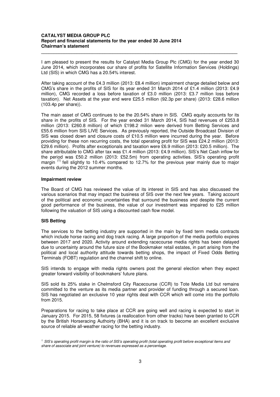I am pleased to present the results for Catalyst Media Group Plc (CMG) for the year ended 30 June 2014, which incorporates our share of profits for Satellite Information Services (Holdings) Ltd (SIS) in which CMG has a 20.54% interest.

**\_\_\_\_\_\_\_\_\_\_\_\_\_\_\_\_\_\_\_\_\_\_\_\_\_\_\_\_\_\_\_\_\_\_\_\_\_\_\_\_\_\_\_\_\_\_\_\_\_\_\_\_\_\_\_\_\_\_\_\_\_\_\_\_\_\_\_\_\_\_\_\_\_\_\_\_\_** 

After taking account of the £4.3 million (2013: £8.4 million) impairment charge detailed below and CMG's share in the profits of SIS for its year ended 31 March 2014 of £1.4 million (2013: £4.9 million), CMG recorded a loss before taxation of £3.0 million (2013: £3.7 million loss before taxation). Net Assets at the year end were £25.5 million (92.3p per share) (2013: £28.6 million (103.4p per share)).

The main asset of CMG continues to be the 20.54% share in SIS. CMG equity accounts for its share in the profits of SIS. For the year ended 31 March 2014, SIS had revenues of £253.8 million (2013: £260.8 million) of which £198.2 milion were derived from Betting Services and £55.6 million from SIS LIVE Services. As previously reported, the Outside Broadcast Division of SIS was closed down and closure costs of £10.5 million were incurred during the year. Before providing for these non recurring costs, the total operating profit for SIS was £24.2 million (2013: £29.6 million). Profits after exceptionals and taxation were £6.9 million (2013: £20.5 million). The share attributable to CMG after tax was £1.4 million (2013: £4.9 million). SIS's Net Cash inflow for the period was £50.2 million (2013: £52.5m) from operating activities. SIS's operating profit margin  $<sup>(1)</sup>$  fell slightly to 10.4% compared to 12.7% for the previous year mainly due to major</sup> events during the 2012 summer months.

#### **Impairment review**

The Board of CMG has reviewed the value of its interest in SIS and has also discussed the various scenarios that may impact the business of SIS over the next few years. Taking account of the political and economic uncertainties that surround the business and despite the current good performance of the business, the value of our investment was impaired to £25 million following the valuation of SIS using a discounted cash flow model.

# **SIS Betting**

The services to the betting industry are supported in the main by fixed term media contracts which include horse racing and dog track racing. A large proportion of the media portfolio expires between 2017 and 2020. Activity around extending racecourse media rights has been delayed due to uncertainty around the future size of the Bookmaker retail estates, in part arising from the political and local authority attitude towards betting shops, the impact of Fixed Odds Betting Terminals (FOBT) regulation and the channel shift to online.

SIS intends to engage with media rights owners post the general election when they expect greater forward visibility of bookmakers' future plans.

SIS sold its 25% stake in Chelmsford City Racecourse (CCR) to Tote Media Ltd but remains committed to the venture as its media partner and provider of funding through a secured loan. SIS has negotiated an exclusive 10 year rights deal with CCR which will come into the portfolio from 2015.

Preparations for racing to take place at CCR are going well and racing is expected to start in January 2015. For 2015, 58 fixtures (a reallocation from other tracks) have been granted to CCR by the British Horseracing Authoirty (BHA) and it is on track to become an excellent exclusive source of reliable all-weather racing for the betting industry.

 $<sup>1</sup>$  SIS's operating profit margin is the ratio of SIS's operating profit (total operating profit before exceptional items and</sup> share of associate and joint venture) to revenues expressed as a percentage.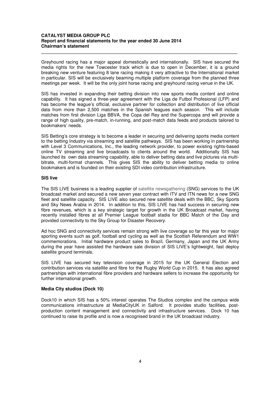Greyhound racing has a major appeal domestically and internationally. SIS have secured the media rights for the new Towcester track which is due to open in December, it is a ground breaking new venture featuring 8 lane racing making it very attractive to the International market in particular. SIS will be exclusively beaming multiple platform coverage from the planned three meetings per week. It will be the only joint horse racing and greyhound racing venue in the UK.

**\_\_\_\_\_\_\_\_\_\_\_\_\_\_\_\_\_\_\_\_\_\_\_\_\_\_\_\_\_\_\_\_\_\_\_\_\_\_\_\_\_\_\_\_\_\_\_\_\_\_\_\_\_\_\_\_\_\_\_\_\_\_\_\_\_\_\_\_\_\_\_\_\_\_\_\_\_** 

SIS has invested in expanding their betting division into new sports media content and online capability. It has signed a three-year agreement with the Liga de Futbol Profesional (LFP) and has become the league's official, exclusive partner for collection and distribution of live official data from more than 2,500 matches in the Spanish leagues each season. This will include matches from first division Liga BBVA, the Copa del Rey and the Supercopa and will provide a range of high quality, pre-match, in-running, and post-match data feeds and products tailored to bookmakers' needs.

SIS Betting's core strategy is to become a leader in securing and delivering sports media content to the betting Industry via streaming and satellite pathways. SIS has been working in partnership with Level 3 Communications, Inc., the leading network provider, to power existing rights-based online TV streaming and live broadcasts to clients around the world. Additionally SIS has launched its own data streaming capability, able to deliver betting data and live pictures via multibitrate, multi-format channels. This gives SIS the ability to deliver betting media to online bookmakers and is founded on their existing SDI video contribution infrastructure.

# **SIS live**

The SIS LIVE business is a leading supplier of satellite newsgathering (SNG) services to the UK broadcast market and secured a new seven year contract with ITV and ITN news for a new SNG fleet and satellite capacity. SIS LIVE also secured new satellite deals with the BBC, Sky Sports and Sky News Arabia in 2014. In addition to this, SIS LIVE has had success in securing new fibre revenues, which is a key strategic target for growth in the UK Broadcast market, having recently installed fibres at all Premier League football stadia for BBC Match of the Day and provided connectivity to the Sky Group for Disaster Recovery.

Ad hoc SNG and connectivity services remain strong with live coverage so far this year for major sporting events such as golf, football and cycling as well as the Scottish Referendum and WW1 commemorations. Initial hardware product sales to Brazil, Germany, Japan and the UK Army during the year have assisted the hardware sale division of SIS LIVE's lightweight, fast deploy satellite ground terminals.

SIS LIVE has secured key television coverage in 2015 for the UK General Election and contribution services via satellite and fibre for the Rugby World Cup in 2015. It has also agreed partnerships with international fibre providers and hardware sellers to increase the opportunity for further international growth.

# **Media City studios (Dock 10)**

Dock10 in which SIS has a 50% interest operates The Studios complex and the campus wide communications infrastructure at MediaCityUK in Salford. It provides studio facilities, postproduction content management and connectivity and infrastructure services. Dock 10 has continued to raise its profile and is now a recognised brand in the UK broadcast industry.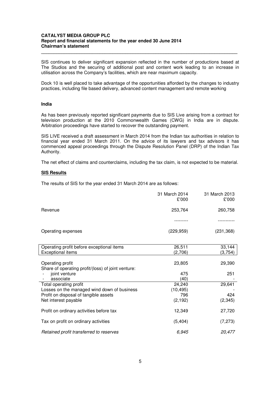SIS continues to deliver significant expansion reflected in the number of productions based at The Studios and the securing of additional post and content work leading to an increase in utilisation across the Company's facilities, which are near maximum capacity.

**\_\_\_\_\_\_\_\_\_\_\_\_\_\_\_\_\_\_\_\_\_\_\_\_\_\_\_\_\_\_\_\_\_\_\_\_\_\_\_\_\_\_\_\_\_\_\_\_\_\_\_\_\_\_\_\_\_\_\_\_\_\_\_\_\_\_\_\_\_\_\_\_\_\_\_\_\_** 

Dock 10 is well placed to take advantage of the opportunities afforded by the changes to industry practices, including file based delivery, advanced content management and remote working

#### **India**

As has been previously reported significant payments due to SIS Live arising from a contract for television production at the 2010 Commonwealth Games (CWG) in India are in dispute. Arbitration proceedings have started to recover the outstanding payment.

SIS LIVE received a draft assessment in March 2014 from the Indian tax authorities in relation to financial year ended 31 March 2011. On the advice of its lawyers and tax advisors it has commenced appeal proceedings through the Dispute Resolution Panel (DRP) of the Indian Tax Authority.

The net effect of claims and counterclaims, including the tax claim, is not expected to be material.

### **SIS Results**

The results of SIS for the year ended 31 March 2014 are as follows:

|                                                                        | 31 March 2014<br>£'000 | 31 March 2013<br>£'000 |
|------------------------------------------------------------------------|------------------------|------------------------|
| Revenue                                                                | 253,764                | 260,758                |
|                                                                        |                        |                        |
| Operating expenses                                                     | (229, 959)             | (231, 368)             |
| Operating profit before exceptional items                              | 26,511                 | 33,144                 |
| <b>Exceptional items</b>                                               | (2,706)                | (3,754)                |
| Operating profit<br>Share of operating profit/(loss) of joint venture: | 23,805                 | 29,390                 |
| joint venture                                                          | 475                    | 251                    |
| associate                                                              | (40)                   |                        |
| Total operating profit                                                 | 24,240                 | 29,641                 |
| Losses on the managed wind down of business                            | (10, 495)              |                        |
| Profit on disposal of tangible assets                                  | 796                    | 424                    |
| Net interest payable                                                   | (2, 192)               | (2, 345)               |
| Profit on ordinary activities before tax                               | 12,349                 | 27,720                 |
| Tax on profit on ordinary activities                                   | (5, 404)               | (7, 273)               |
| Retained profit transferred to reserves                                | 6,945                  | 20,477                 |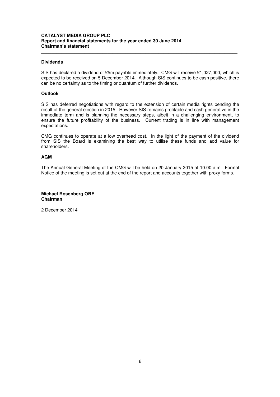## **Dividends**

SIS has declared a dividend of £5m payable immediately. CMG will receive £1,027,000, which is expected to be received on 5 December 2014. Although SIS continues to be cash positive, there can be no certainty as to the timing or quantum of further dividends.

**\_\_\_\_\_\_\_\_\_\_\_\_\_\_\_\_\_\_\_\_\_\_\_\_\_\_\_\_\_\_\_\_\_\_\_\_\_\_\_\_\_\_\_\_\_\_\_\_\_\_\_\_\_\_\_\_\_\_\_\_\_\_\_\_\_\_\_\_\_\_\_\_\_\_\_\_\_** 

#### **Outlook**

SIS has deferred negotiations with regard to the extension of certain media rights pending the result of the general election in 2015. However SIS remains profitable and cash generative in the immediate term and is planning the necessary steps, albeit in a challenging environment, to ensure the future profitability of the business. Current trading is in line with management expectations.

CMG continues to operate at a low overhead cost. In the light of the payment of the dividend from SIS the Board is examining the best way to utilise these funds and add value for shareholders.

#### **AGM**

The Annual General Meeting of the CMG will be held on 20 January 2015 at 10:00 a.m. Formal Notice of the meeting is set out at the end of the report and accounts together with proxy forms.

# **Michael Rosenberg OBE Chairman**

2 December 2014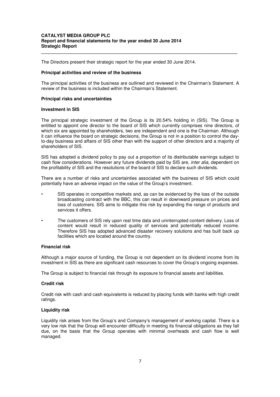#### **CATALYST MEDIA GROUP PLC Report and financial statements for the year ended 30 June 2014 Strategic Report**

The Directors present their strategic report for the year ended 30 June 2014.

#### **Principal activities and review of the business**

The principal activities of the business are outlined and reviewed in the Chairman's Statement. A review of the business is included within the Chairman's Statement.

**\_\_\_\_\_\_\_\_\_\_\_\_\_\_\_\_\_\_\_\_\_\_\_\_\_\_\_\_\_\_\_\_\_\_\_\_\_\_\_\_\_\_\_\_\_\_\_\_\_\_\_\_\_\_\_\_\_\_\_\_\_\_\_\_\_\_\_\_\_\_\_\_\_\_\_\_\_** 

#### **Principal risks and uncertainties**

#### **Investment in SIS**

The principal strategic investment of the Group is its 20.54% holding in (SIS). The Group is entitled to appoint one director to the board of SIS which currently comprises nine directors, of which six are appointed by shareholders, two are independent and one is the Chairman. Although it can influence the board on strategic decisions, the Group is not in a position to control the dayto-day business and affairs of SIS other than with the support of other directors and a majority of shareholders of SIS.

SIS has adopted a dividend policy to pay out a proportion of its distributable earnings subject to cash flow considerations. However any future dividends paid by SIS are, inter alia, dependent on the profitability of SIS and the resolutions of the board of SIS to declare such dividends.

There are a number of risks and uncertainties associated with the business of SIS which could potentially have an adverse impact on the value of the Group's investment.

- SIS operates in competitive markets and, as can be evidenced by the loss of the outside broadcasting contract with the BBC, this can result in downward pressure on prices and loss of customers. SIS aims to mitigate this risk by expanding the range of products and services it offers.
- The customers of SIS rely upon real time data and uninterrupted content delivery. Loss of content would result in reduced quality of services and potentially reduced income. Therefore SIS has adopted advanced disaster recovery solutions and has built back up facilities which are located around the country.

# **Financial risk**

Although a major source of funding, the Group is not dependent on its dividend income from its investment in SIS as there are significant cash resources to cover the Group's ongoing expenses.

The Group is subject to financial risk through its exposure to financial assets and liabilities.

#### **Credit risk**

Credit risk with cash and cash equivalents is reduced by placing funds with banks with high credit ratings.

#### **Liquidity risk**

Liquidity risk arises from the Group's and Company's management of working capital. There is a very low risk that the Group will encounter difficulty in meeting its financial obligations as they fall due, on the basis that the Group operates with minimal overheads and cash flow is well managed.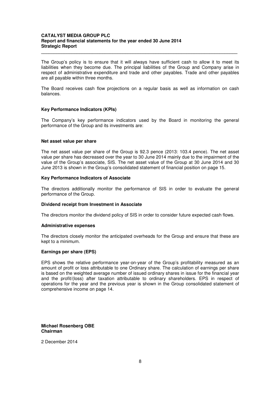#### **CATALYST MEDIA GROUP PLC Report and financial statements for the year ended 30 June 2014 Strategic Report**

The Group's policy is to ensure that it will always have sufficient cash to allow it to meet its liabilities when they become due. The principal liabilities of the Group and Company arise in respect of administrative expenditure and trade and other payables. Trade and other payables are all payable within three months.

**\_\_\_\_\_\_\_\_\_\_\_\_\_\_\_\_\_\_\_\_\_\_\_\_\_\_\_\_\_\_\_\_\_\_\_\_\_\_\_\_\_\_\_\_\_\_\_\_\_\_\_\_\_\_\_\_\_\_\_\_\_\_\_\_\_\_\_\_\_\_\_\_\_\_\_\_\_** 

The Board receives cash flow projections on a regular basis as well as information on cash balances.

#### **Key Performance Indicators (KPIs)**

The Company's key performance indicators used by the Board in monitoring the general performance of the Group and its investments are:

#### **Net asset value per share**

The net asset value per share of the Group is 92.3 pence (2013: 103.4 pence). The net asset value per share has decreased over the year to 30 June 2014 mainly due to the impairment of the value of the Group's associate, SIS. The net asset value of the Group at 30 June 2014 and 30 June 2013 is shown in the Group's consolidated statement of financial position on page 15.

#### **Key Performance Indicators of Associate**

The directors additionally monitor the performance of SIS in order to evaluate the general performance of the Group.

#### **Dividend receipt from Investment in Associate**

The directors monitor the dividend policy of SIS in order to consider future expected cash flows.

#### **Administrative expenses**

The directors closely monitor the anticipated overheads for the Group and ensure that these are kept to a minimum.

#### **Earnings per share (EPS)**

EPS shows the relative performance year-on-year of the Group's profitability measured as an amount of profit or loss attributable to one Ordinary share. The calculation of earnings per share is based on the weighted average number of issued ordinary shares in issue for the financial year and the profit/(loss) after taxation attributable to ordinary shareholders. EPS in respect of operations for the year and the previous year is shown in the Group consolidated statement of comprehensive income on page 14.

**Michael Rosenberg OBE Chairman** 

2 December 2014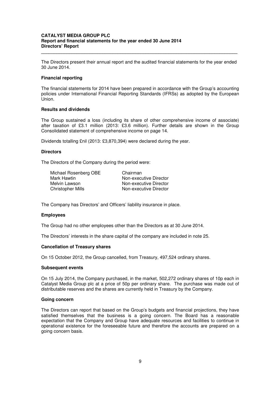#### **CATALYST MEDIA GROUP PLC Report and financial statements for the year ended 30 June 2014 Directors' Report**

The Directors present their annual report and the audited financial statements for the year ended 30 June 2014.

**\_\_\_\_\_\_\_\_\_\_\_\_\_\_\_\_\_\_\_\_\_\_\_\_\_\_\_\_\_\_\_\_\_\_\_\_\_\_\_\_\_\_\_\_\_\_\_\_\_\_\_\_\_\_\_\_\_\_\_\_\_\_\_\_\_\_\_\_\_\_\_\_\_\_\_\_\_** 

#### **Financial reporting**

The financial statements for 2014 have been prepared in accordance with the Group's accounting policies under International Financial Reporting Standards (IFRSs) as adopted by the European Union.

# **Results and dividends**

The Group sustained a loss (including its share of other comprehensive income of associate) after taxation of £3.1 million (2013: £3.6 million). Further details are shown in the Group Consolidated statement of comprehensive income on page 14.

Dividends totalling £nil (2013: £3,870,394) were declared during the year.

#### **Directors**

The Directors of the Company during the period were:

| Michael Rosenberg OBE    | Chairman               |
|--------------------------|------------------------|
| Mark Hawtin              | Non-executive Director |
| Melvin Lawson            | Non-executive Director |
| <b>Christopher Mills</b> | Non-executive Director |

The Company has Directors' and Officers' liability insurance in place.

#### **Employees**

The Group had no other employees other than the Directors as at 30 June 2014.

The Directors' interests in the share capital of the company are included in note 25.

#### **Cancellation of Treasury shares**

On 15 October 2012, the Group cancelled, from Treasury, 497,524 ordinary shares.

#### **Subsequent events**

On 15 July 2014, the Company purchased, in the market, 502,272 ordinary shares of 10p each in Catalyst Media Group plc at a price of 50p per ordinary share. The purchase was made out of distributable reserves and the shares are currently held in Treasury by the Company.

#### **Going concern**

The Directors can report that based on the Group's budgets and financial projections, they have satisfied themselves that the business is a going concern. The Board has a reasonable expectation that the Company and Group have adequate resources and facilities to continue in operational existence for the foreseeable future and therefore the accounts are prepared on a going concern basis.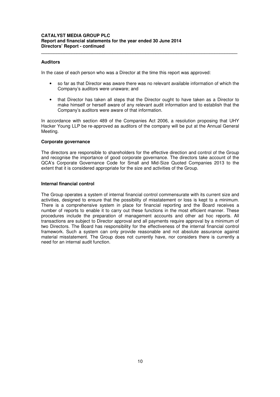#### **Auditors**

In the case of each person who was a Director at the time this report was approved:

• so far as that Director was aware there was no relevant available information of which the Company's auditors were unaware; and

**\_\_\_\_\_\_\_\_\_\_\_\_\_\_\_\_\_\_\_\_\_\_\_\_\_\_\_\_\_\_\_\_\_\_\_\_\_\_\_\_\_\_\_\_\_\_\_\_\_\_\_\_\_\_\_\_\_\_\_\_\_\_\_\_\_\_\_\_\_\_\_\_\_\_\_\_\_** 

• that Director has taken all steps that the Director ought to have taken as a Director to make himself or herself aware of any relevant audit information and to establish that the Company's auditors were aware of that information.

In accordance with section 489 of the Companies Act 2006, a resolution proposing that UHY Hacker Young LLP be re-approved as auditors of the company will be put at the Annual General Meeting.

#### **Corporate governance**

The directors are responsible to shareholders for the effective direction and control of the Group and recognise the importance of good corporate governance. The directors take account of the QCA's Corporate Governance Code for Small and Mid-Size Quoted Companies 2013 to the extent that it is considered appropriate for the size and activities of the Group.

#### **Internal financial control**

The Group operates a system of internal financial control commensurate with its current size and activities, designed to ensure that the possibility of misstatement or loss is kept to a minimum. There is a comprehensive system in place for financial reporting and the Board receives a number of reports to enable it to carry out these functions in the most efficient manner. These procedures include the preparation of management accounts and other ad hoc reports. All transactions are subject to Director approval and all payments require approval by a minimum of two Directors. The Board has responsibility for the effectiveness of the internal financial control framework. Such a system can only provide reasonable and not absolute assurance against material misstatement. The Group does not currently have, nor considers there is currently a need for an internal audit function.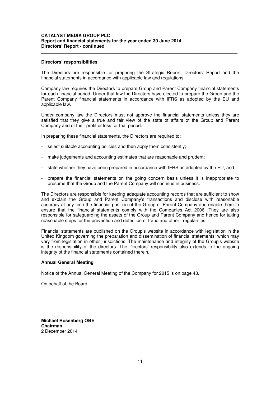#### **CATALYST MEDIA GROUP PLC Report and financial statements for the year ended 30 June 2014 Directors' Report - continued**

#### **Directors' responsibilities**

The Directors are responsible for preparing the Strategic Report, Directors' Report and the financial statements in accordance with applicable law and regulations.

**\_\_\_\_\_\_\_\_\_\_\_\_\_\_\_\_\_\_\_\_\_\_\_\_\_\_\_\_\_\_\_\_\_\_\_\_\_\_\_\_\_\_\_\_\_\_\_\_\_\_\_\_\_\_\_\_\_\_\_\_\_\_\_\_\_\_\_\_\_\_\_\_\_\_\_\_\_** 

Company law requires the Directors to prepare Group and Parent Company financial statements for each financial period. Under that law the Directors have elected to prepare the Group and the Parent Company financial statements in accordance with IFRS as adopted by the EU and applicable law.

Under company law the Directors must not approve the financial statements unless they are satisfied that they give a true and fair view of the state of affairs of the Group and Parent Company and of their profit or loss for that period.

In preparing these financial statements, the Directors are required to:

- select suitable accounting policies and then apply them consistently;
- make judgements and accounting estimates that are reasonable and prudent;
- state whether they have been prepared in accordance with IFRS as adopted by the EU; and
- prepare the financial statements on the going concern basis unless it is inappropriate to presume that the Group and the Parent Company will continue in business.

The Directors are responsible for keeping adequate accounting records that are sufficient to show and explain the Group and Parent Company's transactions and disclose with reasonable accuracy at any time the financial position of the Group or Parent Company and enable them to ensure that the financial statements comply with the Companies Act 2006. They are also responsible for safeguarding the assets of the Group and Parent Company and hence for taking reasonable steps for the prevention and detection of fraud and other irregularities.

Financial statements are published on the Group's website in accordance with legislation in the United Kingdom governing the preparation and dissemination of financial statements, which may vary from legislation in other jurisdictions. The maintenance and integrity of the Group's website is the responsibility of the directors. The Directors' responsibility also extends to the ongoing integrity of the financial statements contained therein.

#### **Annual General Meeting**

Notice of the Annual General Meeting of the Company for 2015 is on page 43.

On behalf of the Board

**Michael Rosenberg OBE Chairman**  2 December 2014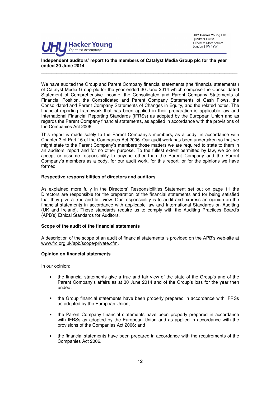

UHY Hacker Young LLP Quadrant House 4 Thomas More Square London E1W 1YW

# **Independent auditors' report to the members of Catalyst Media Group plc for the year ended 30 June 2014**

We have audited the Group and Parent Company financial statements (the 'financial statements') of Catalyst Media Group plc for the year ended 30 June 2014 which comprise the Consolidated Statement of Comprehensive Income, the Consolidated and Parent Company Statements of Financial Position, the Consolidated and Parent Company Statements of Cash Flows, the Consolidated and Parent Company Statements of Changes in Equity, and the related notes. The financial reporting framework that has been applied in their preparation is applicable law and International Financial Reporting Standards (IFRSs) as adopted by the European Union and as regards the Parent Company financial statements, as applied in accordance with the provisions of the Companies Act 2006.

**\_\_\_\_\_\_\_\_\_\_\_\_\_\_\_\_\_\_\_\_\_\_\_\_\_\_\_\_\_\_\_\_\_\_\_\_\_\_\_\_\_\_\_\_\_\_\_\_\_\_\_\_\_\_\_\_\_\_\_\_\_\_\_\_\_\_\_\_\_\_\_\_\_\_\_\_\_** 

This report is made solely to the Parent Company's members, as a body, in accordance with Chapter 3 of Part 16 of the Companies Act 2006. Our audit work has been undertaken so that we might state to the Parent Company's members those matters we are required to state to them in an auditors' report and for no other purpose. To the fullest extent permitted by law, we do not accept or assume responsibility to anyone other than the Parent Company and the Parent Company's members as a body, for our audit work, for this report, or for the opinions we have formed.

#### **Respective responsibilities of directors and auditors**

As explained more fully in the Directors' Responsibilities Statement set out on page 11 the Directors are responsible for the preparation of the financial statements and for being satisfied that they give a true and fair view. Our responsibility is to audit and express an opinion on the financial statements in accordance with applicable law and International Standards on Auditing (UK and Ireland). Those standards require us to comply with the Auditing Practices Board's (APB's) Ethical Standards for Auditors.

#### **Scope of the audit of the financial statements**

A description of the scope of an audit of financial statements is provided on the APB's web-site at www.frc.org.uk/apb/scope/private.cfm.

#### **Opinion on financial statements**

In our opinion:

- the financial statements give a true and fair view of the state of the Group's and of the Parent Company's affairs as at 30 June 2014 and of the Group's loss for the year then ended;
- the Group financial statements have been properly prepared in accordance with IFRSs as adopted by the European Union;
- the Parent Company financial statements have been properly prepared in accordance with IFRSs as adopted by the European Union and as applied in accordance with the provisions of the Companies Act 2006; and
- the financial statements have been prepared in accordance with the requirements of the Companies Act 2006.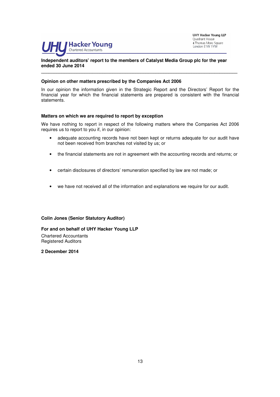

**UHY Hacker Young LLP** Quadrant House 4 Thomas More Square London E1W 1YW

# **Independent auditors' report to the members of Catalyst Media Group plc for the year ended 30 June 2014**

## **Opinion on other matters prescribed by the Companies Act 2006**

In our opinion the information given in the Strategic Report and the Directors' Report for the financial year for which the financial statements are prepared is consistent with the financial statements.

**\_\_\_\_\_\_\_\_\_\_\_\_\_\_\_\_\_\_\_\_\_\_\_\_\_\_\_\_\_\_\_\_\_\_\_\_\_\_\_\_\_\_\_\_\_\_\_\_\_\_\_\_\_\_\_\_\_\_\_\_\_\_\_\_\_\_\_\_\_\_\_\_\_\_\_\_\_** 

#### **Matters on which we are required to report by exception**

We have nothing to report in respect of the following matters where the Companies Act 2006 requires us to report to you if, in our opinion:

- adequate accounting records have not been kept or returns adequate for our audit have not been received from branches not visited by us; or
- the financial statements are not in agreement with the accounting records and returns; or
- certain disclosures of directors' remuneration specified by law are not made; or
- we have not received all of the information and explanations we require for our audit.

#### **Colin Jones (Senior Statutory Auditor)**

**For and on behalf of UHY Hacker Young LLP**  Chartered Accountants Registered Auditors

**2 December 2014**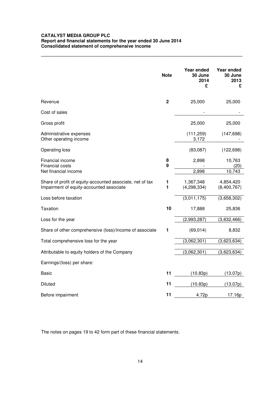# **CATALYST MEDIA GROUP PLC Report and financial statements for the year ended 30 June 2014 Consolidated statement of comprehensive income**

|                                                                                                       | <b>Note</b> | Year ended<br>30 June      | Year ended<br>30 June    |
|-------------------------------------------------------------------------------------------------------|-------------|----------------------------|--------------------------|
|                                                                                                       |             | 2014<br>£                  | 2013<br>£                |
|                                                                                                       |             |                            |                          |
| Revenue                                                                                               | $\mathbf 2$ | 25,000                     | 25,000                   |
| Cost of sales                                                                                         |             |                            |                          |
| Gross profit                                                                                          |             | 25,000                     | 25,000                   |
| Administrative expenses<br>Other operating income                                                     |             | (111, 259)<br>3,172        | (147, 698)               |
| Operating loss                                                                                        |             | (83,087)                   | (122, 698)               |
| Financial income<br>Financial costs                                                                   | 8<br>9      | 2,898                      | 10,763<br>(20)           |
| Net financial income                                                                                  |             | 2,898                      | 10,743                   |
| Share of profit of equity-accounted associate, net of tax<br>Impairment of equity-accounted associate | 1<br>1      | 1,367,348<br>(4, 298, 334) | 4,854,420<br>(8,400,767) |
| Loss before taxation                                                                                  |             | (3,011,175)                | (3,658,302)              |
| Taxation                                                                                              | 10          | 17,888                     | 25,836                   |
| Loss for the year                                                                                     |             | (2,993,287)                | (3,632,466)              |
| Share of other comprehensive (loss)/income of associate                                               | 1           | (69, 014)                  | 8,832                    |
| Total comprehensive loss for the year                                                                 |             | (3,062,301)                | (3,623,634)              |
| Attributable to equity holders of the Company                                                         |             | (3,062,301)                | (3,623,634)              |
| Earnings/(loss) per share:                                                                            |             |                            |                          |
| Basic                                                                                                 | 11          | (10.83p)                   | (13.07p)                 |
| <b>Diluted</b>                                                                                        | 11          | (10.83p)                   | (13.07p)                 |
| Before impairment                                                                                     | 11          | 4.72p                      | 17.16p                   |

**\_\_\_\_\_\_\_\_\_\_\_\_\_\_\_\_\_\_\_\_\_\_\_\_\_\_\_\_\_\_\_\_\_\_\_\_\_\_\_\_\_\_\_\_\_\_\_\_\_\_\_\_\_\_\_\_\_\_\_\_\_\_\_\_\_\_\_\_\_\_\_\_\_\_\_\_\_\_\_**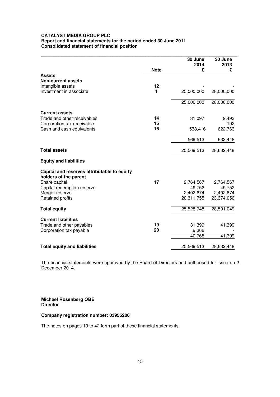# **CATALYST MEDIA GROUP PLC Report and financial statements for the period ended 30 June 2011 Consolidated statement of financial position**

|                                                                      | <b>Note</b> | 30 June<br>2014<br>£ | 30 June<br>2013<br>£ |
|----------------------------------------------------------------------|-------------|----------------------|----------------------|
| <b>Assets</b>                                                        |             |                      |                      |
| <b>Non-current assets</b>                                            |             |                      |                      |
| Intangible assets                                                    | 12          |                      |                      |
| Investment in associate                                              | 1           | 25,000,000           | 28,000,000           |
|                                                                      |             | 25,000,000           | 28,000,000           |
| <b>Current assets</b>                                                |             |                      |                      |
| Trade and other receivables                                          | 14          | 31,097               | 9,493                |
| Corporation tax receivable                                           | 15          |                      | 192                  |
| Cash and cash equivalents                                            | 16          | 538,416              | 622,763              |
|                                                                      |             | 569,513              | 632,448              |
| <b>Total assets</b>                                                  |             | 25,569,513           | 28,632,448           |
| <b>Equity and liabilities</b>                                        |             |                      |                      |
| Capital and reserves attributable to equity<br>holders of the parent |             |                      |                      |
| Share capital                                                        | 17          | 2,764,567            | 2,764,567            |
| Capital redemption reserve                                           |             | 49,752               | 49,752               |
| Merger reserve                                                       |             | 2,402,674            | 2,402,674            |
| Retained profits                                                     |             | 20,311,755           | 23,374,056           |
| <b>Total equity</b>                                                  |             | 25,528,748           | 28,591,049           |
| <b>Current liabilities</b>                                           |             |                      |                      |
| Trade and other payables                                             | 19          | 31,399               | 41,399               |
| Corporation tax payable                                              | 20          | 9,366                |                      |
|                                                                      |             | 40,765               | 41,399               |
| <b>Total equity and liabilities</b>                                  |             | 25,569,513           | 28,632,448           |

The financial statements were approved by the Board of Directors and authorised for issue on 2 December 2014.

# **Michael Rosenberg OBE Director**

# **Company registration number: 03955206**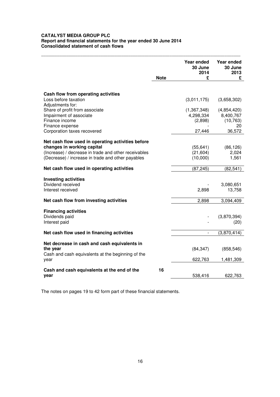# **CATALYST MEDIA GROUP PLC Report and financial statements for the year ended 30 June 2014 Consolidated statement of cash flows**

|                                                             | <b>Note</b> | Year ended<br>30 June<br>2014<br>£ | Year ended<br>30 June<br>2013<br>£ |
|-------------------------------------------------------------|-------------|------------------------------------|------------------------------------|
|                                                             |             |                                    |                                    |
| Cash flow from operating activities<br>Loss before taxation |             | (3,011,175)                        | (3,658,302)                        |
| Adjustments for:<br>Share of profit from associate          |             | (1,367,348)                        | (4,854,420)                        |
| Impairment of associate                                     |             | 4,298,334                          | 8,400,767                          |
| Finance income<br>Finance expense                           |             | (2,898)                            | (10, 763)<br>20                    |
| Corporation taxes recovered                                 |             | 27,446                             | 36,572                             |
| Net cash flow used in operating activities before           |             |                                    |                                    |
| changes in working capital                                  |             | (55, 641)                          | (86, 126)                          |
| (Increase) / decrease in trade and other receivables        |             | (21, 604)                          | 2,024                              |
| (Decrease) / increase in trade and other payables           |             | (10,000)                           | 1,561                              |
| Net cash flow used in operating activities                  |             | (87, 245)                          | (82, 541)                          |
| <b>Investing activities</b>                                 |             |                                    |                                    |
| Dividend received                                           |             |                                    | 3,080,651                          |
| Interest received                                           |             | 2,898                              | 13,758                             |
| Net cash flow from investing activities                     |             | 2,898                              | 3,094,409                          |
|                                                             |             |                                    |                                    |
| <b>Financing activities</b>                                 |             |                                    |                                    |
| Dividends paid                                              |             |                                    | (3,870,394)                        |
| Interest paid                                               |             |                                    | (20)                               |
| Net cash flow used in financing activities                  |             | $\frac{1}{2}$                      | (3,870,414)                        |
| Net decrease in cash and cash equivalents in                |             |                                    |                                    |
| the year                                                    |             | (84, 347)                          | (858, 546)                         |
| Cash and cash equivalents at the beginning of the           |             |                                    |                                    |
| year                                                        |             | 622,763                            | 1,481,309                          |
|                                                             | 16          |                                    |                                    |
| Cash and cash equivalents at the end of the<br>year         |             | 538,416                            | 622,763                            |
|                                                             |             |                                    |                                    |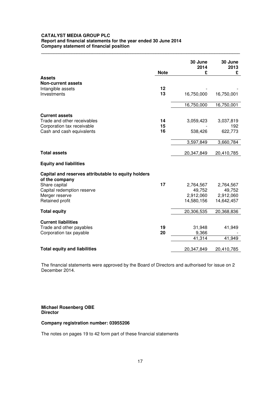# **CATALYST MEDIA GROUP PLC Report and financial statements for the year ended 30 June 2014 Company statement of financial position**

|                                                                       | <b>Note</b> | 30 June<br>2014<br>£ | 30 June<br>2013<br>£ |
|-----------------------------------------------------------------------|-------------|----------------------|----------------------|
| <b>Assets</b>                                                         |             |                      |                      |
| <b>Non-current assets</b>                                             |             |                      |                      |
| Intangible assets                                                     | 12          |                      |                      |
| Investments                                                           | 13          | 16,750,000           | 16,750,001           |
|                                                                       |             | 16,750,000           | 16,750,001           |
|                                                                       |             |                      |                      |
| <b>Current assets</b>                                                 |             |                      |                      |
| Trade and other receivables                                           | 14          | 3,059,423            | 3,037,819            |
| Corporation tax receivable                                            | 15          |                      | 192                  |
| Cash and cash equivalents                                             | 16          | 538,426              | 622,773              |
|                                                                       |             | 3,597,849            | 3,660,784            |
|                                                                       |             |                      |                      |
| <b>Total assets</b>                                                   |             | 20,347,849           | 20,410,785           |
| <b>Equity and liabilities</b>                                         |             |                      |                      |
| Capital and reserves attributable to equity holders<br>of the company |             |                      |                      |
| Share capital                                                         | 17          | 2,764,567            | 2,764,567            |
| Capital redemption reserve                                            |             | 49,752               | 49,752               |
| Merger reserve                                                        |             | 2,912,060            | 2,912,060            |
| Retained profit                                                       |             | 14,580,156           | 14,642,457           |
| <b>Total equity</b>                                                   |             | 20,306,535           | 20,368,836           |
|                                                                       |             |                      |                      |
| <b>Current liabilities</b>                                            |             |                      |                      |
| Trade and other payables                                              | 19          | 31,948               | 41,949               |
| Corporation tax payable                                               | 20          | 9,366                |                      |
|                                                                       |             | 41,314               | 41,949               |
| <b>Total equity and liabilities</b>                                   |             | 20,347,849           | 20,410,785           |

**\_\_\_\_\_\_\_\_\_\_\_\_\_\_\_\_\_\_\_\_\_\_\_\_\_\_\_\_\_\_\_\_\_\_\_\_\_\_\_\_\_\_\_\_\_\_\_\_\_\_\_\_\_\_\_\_\_\_\_\_\_\_\_\_\_\_\_\_\_\_\_\_\_\_\_\_\_\_** 

The financial statements were approved by the Board of Directors and authorised for issue on 2 December 2014.

**Michael Rosenberg OBE Director** 

# **Company registration number: 03955206**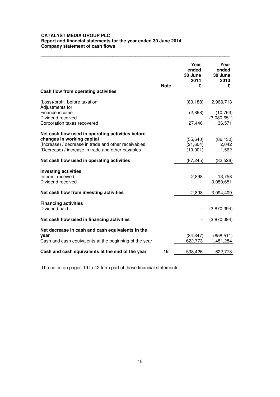# **CATALYST MEDIA GROUP PLC Report and financial statements for the year ended 30 June 2014 Company statement of cash flows**

|                                                        | <b>Note</b> | Year<br>ended<br>30 June<br>2014<br>£ | Year<br>ended<br>30 June<br>2013<br>£ |
|--------------------------------------------------------|-------------|---------------------------------------|---------------------------------------|
| Cash flow from operating activities                    |             |                                       |                                       |
| (Loss)/profit before taxation<br>Adjustments for:      |             | (80, 188)                             | 2,968,713                             |
| Finance income<br>Dividend received                    |             | (2,898)                               | (10, 763)<br>(3,080,651)              |
| Corporation taxes recovered                            |             | 27,446                                | 36,571                                |
| Net cash flow used in operating activities before      |             |                                       |                                       |
| changes in working capital                             |             | (55, 640)                             | (86, 130)                             |
| (Increase) / decrease in trade and other receivables   |             | (21, 604)                             | 2,042                                 |
| (Decrease) / increase in trade and other payables      |             | (10,001)                              | 1,562                                 |
| Net cash flow used in operating activities             |             | (87, 245)                             | (82, 526)                             |
| <b>Investing activities</b>                            |             |                                       |                                       |
| Interest received                                      |             | 2,898                                 | 13,758                                |
| Dividend received                                      |             |                                       | 3,080,651                             |
| Net cash flow from investing activities                |             | 2,898                                 | 3,094,409                             |
| <b>Financing activities</b>                            |             |                                       |                                       |
| Dividend paid                                          |             |                                       | (3,870,394)                           |
| Net cash flow used in financing activities             |             | $\overline{a}$                        | (3,870,394)                           |
| Net decrease in cash and cash equivalents in the       |             |                                       |                                       |
| year                                                   |             | (84, 347)                             | (858, 511)                            |
| Cash and cash equivalents at the beginning of the year |             | 622,773                               | 1,481,284                             |
| Cash and cash equivalents at the end of the year       | 16          | 538,426                               | 622,773                               |

**\_\_\_\_\_\_\_\_\_\_\_\_\_\_\_\_\_\_\_\_\_\_\_\_\_\_\_\_\_\_\_\_\_\_\_\_\_\_\_\_\_\_\_\_\_\_\_\_\_\_\_\_\_\_\_\_\_\_\_\_\_\_\_\_\_\_\_\_\_\_\_\_\_\_**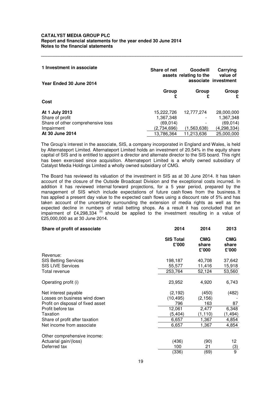| 1 Investment in associate<br>Year Ended 30 June 2014 | Share of net | Goodwill<br>assets relating to the | Carrying<br>value of<br>associate investment |
|------------------------------------------------------|--------------|------------------------------------|----------------------------------------------|
|                                                      | Group        | Group                              | Group                                        |
| Cost                                                 |              |                                    |                                              |
| At 1 July 2013                                       | 15,222,726   | 12,777,274                         | 28,000,000                                   |
| Share of profit                                      | 1,367,348    |                                    | 1,367,348                                    |
| Share of other comprehensive loss                    | (69, 014)    |                                    | (69, 014)                                    |
| Impairment                                           | (2,734,696)  | (1,563,638)                        | (4, 298, 334)                                |
| At 30 June 2014                                      | 13,786,364   | 11,213,636                         | 25,000,000                                   |

**\_\_\_\_\_\_\_\_\_\_\_\_\_\_\_\_\_\_\_\_\_\_\_\_\_\_\_\_\_\_\_\_\_\_\_\_\_\_\_\_\_\_\_\_\_\_\_\_\_\_\_\_\_\_\_\_\_\_\_\_\_\_\_\_\_\_\_\_\_\_\_\_\_\_\_\_\_\_\_** 

The Group's interest in the associate, SIS, a company incorporated in England and Wales, is held by Alternateport Limited. Alternateport Limited holds an investment of 20.54% in the equity share capital of SIS and is entitled to appoint a director and alternate director to the SIS board. This right has been exercised since acquisition. Alternateport Limited is a wholly owned subsidiary of Catalyst Media Holdings Limited a wholly owned subsidiary of CMG.

The Board has reviewed its valuation of the investment in SIS as at 30 June 2014. It has taken account of the closure of the Outside Broadcast Division and the exceptional costs incurred. In addition it has reviewed internal forward projections, for a 5 year period, prepared by the management of SIS which include expectations of future cash flows from the business. It has applied a present day value to the expected cash flows using a discount rate of 5% and has taken account of the uncertainty surrounding the extension of media rights as well as the expected decline in numbers of retail betting shops. As a result it has concluded that an impairment of £4,298,334  $^{(ii)}$  should be applied to the investment resulting in a value of £25,000,000 as at 30 June 2014.

| Share of profit of associate      | 2014                      | 2014                         | 2013                         |
|-----------------------------------|---------------------------|------------------------------|------------------------------|
|                                   | <b>SIS Total</b><br>£'000 | <b>CMG</b><br>share<br>£'000 | <b>CMG</b><br>share<br>£'000 |
| Revenue:                          |                           |                              |                              |
| <b>SIS Betting Services</b>       | 198,187                   | 40,708                       | 37,642                       |
| <b>SIS LIVE Services</b>          | 55,577                    | 11,416                       | 15,918                       |
| Total revenue                     | 253,764                   | 52,124                       | 53,560                       |
|                                   |                           |                              |                              |
| Operating profit (i)              | 23,952                    | 4,920                        | 6,743                        |
| Net interest payable              | (2, 192)                  | (450)                        | (482)                        |
| Losses on business wind down      | (10, 495)                 | (2, 156)                     |                              |
| Profit on disposal of fixed asset | 796                       | 163                          | 87                           |
| Profit before tax                 | 12,061                    | 2,477                        | 6,348                        |
| Taxation                          | (5, 404)                  | (1, 110)                     | (1, 494)                     |
| Share of profit after taxation    | 6,657                     | 1,367                        | 4,854                        |
| Net income from associate         | 6,657                     | 1,367                        | 4,854                        |
| Other comprehensive income:       |                           |                              |                              |
| Actuarial gain/(loss)             | (436)                     | (90)                         | 12                           |
| Deferred tax                      | 100                       | 21                           | (3)                          |
|                                   | (336)                     | (69)                         | 9                            |
|                                   |                           |                              |                              |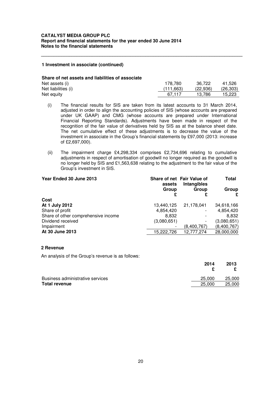#### **1 Investment in associate (continued)**

#### **Share of net assets and liabilities of associate**

| Net assets (i)      | 178.780   | 36,722   | 41.526    |
|---------------------|-----------|----------|-----------|
| Net liabilities (i) | (111.663) | (22.936) | (26, 303) |
| Net equity          | 67.117    | 13.786   | 15,223    |

**\_\_\_\_\_\_\_\_\_\_\_\_\_\_\_\_\_\_\_\_\_\_\_\_\_\_\_\_\_\_\_\_\_\_\_\_\_\_\_\_\_\_\_\_\_\_\_\_\_\_\_\_\_\_\_\_\_\_\_\_\_\_\_\_\_\_\_\_\_\_\_\_\_\_\_\_\_\_\_** 

- (i) The financial results for SIS are taken from its latest accounts to 31 March 2014, adjusted in order to align the accounting policies of SIS (whose accounts are prepared under UK GAAP) and CMG (whose accounts are prepared under International Financial Reporting Standards). Adjustments have been made in respect of the recognition of the fair value of derivatives held by SIS as at the balance sheet date. The net cumulative effect of these adjustments is to decrease the value of the investment in associate in the Group's financial statements by £97,000 (2013: increase of £2,697,000).
- (ii) The impairment charge £4,298,334 comprises £2,734,696 relating to cumulative adjustments in respect of amortisation of goodwill no longer required as the goodwill is no longer held by SIS and £1,563,638 relating to the adjustment to the fair value of the Group's investment in SIS.

| Year Ended 30 June 2013             | assets      | Share of net Fair Value of<br>Intangibles | Total       |
|-------------------------------------|-------------|-------------------------------------------|-------------|
|                                     | Group       | Group                                     | Group       |
| Cost                                |             |                                           |             |
| At 1 July 2012                      | 13,440,125  | 21,178,041                                | 34,618,166  |
| Share of profit                     | 4,854,420   |                                           | 4,854,420   |
| Share of other comprehensive income | 8,832       |                                           | 8,832       |
| Dividend received                   | (3,080,651) |                                           | (3,080,651) |
| Impairment                          |             | (8,400,767)                               | (8,400,767) |
| At 30 June 2013                     | 15,222,726  | 12,777,274                                | 28,000,000  |

#### **2 Revenue**

An analysis of the Group's revenue is as follows:

|                                  | 2014   | 2013   |  |
|----------------------------------|--------|--------|--|
|                                  |        |        |  |
| Business administrative services | 25,000 | 25,000 |  |
| <b>Total revenue</b>             | 25,000 | 25,000 |  |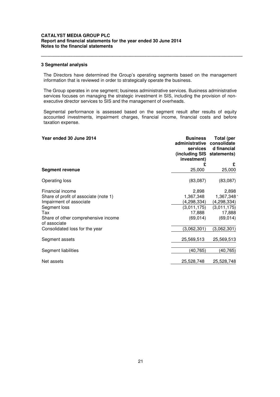#### **3 Segmental analysis**

The Directors have determined the Group's operating segments based on the management information that is reviewed in order to strategically operate the business.

**\_\_\_\_\_\_\_\_\_\_\_\_\_\_\_\_\_\_\_\_\_\_\_\_\_\_\_\_\_\_\_\_\_\_\_\_\_\_\_\_\_\_\_\_\_\_\_\_\_\_\_\_\_\_\_\_\_\_\_\_\_\_\_\_\_\_\_\_\_\_\_\_\_\_\_\_\_\_\_** 

The Group operates in one segment; business administrative services. Business administrative services focuses on managing the strategic investment in SIS, including the provision of nonexecutive director services to SIS and the management of overheads.

Segmental performance is assessed based on the segment result after results of equity accounted investments, impairment charges, financial income, financial costs and before taxation expense.

| Year ended 30 June 2014                             | <b>Business</b><br>administrative<br><b>services</b><br>(including SIS statements)<br>investment) | <b>Total (per</b><br>consolidate<br>d financial |
|-----------------------------------------------------|---------------------------------------------------------------------------------------------------|-------------------------------------------------|
|                                                     | £                                                                                                 | £                                               |
| Segment revenue                                     | 25,000                                                                                            | 25,000                                          |
| Operating loss                                      | (83,087)                                                                                          | (83,087)                                        |
| Financial income                                    | 2,898                                                                                             | 2,898                                           |
| Share of profit of associate (note 1)               | 1,367,348                                                                                         | 1,367,3481                                      |
| Impairment of associate                             | (4,298,334)                                                                                       | (4,298,334)                                     |
| Segment loss                                        | (3,011,175)                                                                                       | (3,011,175)                                     |
| Tax                                                 | 17,888                                                                                            | 17,888                                          |
| Share of other comprehensive income<br>of associate | (69, 014)                                                                                         | (69, 014)                                       |
| Consolidated loss for the year                      | (3,062,301)                                                                                       | (3,062,301)                                     |
| Segment assets                                      | 25,569,513                                                                                        | 25,569,513                                      |
| Segment liabilities                                 | (40, 765)                                                                                         | (40,765)                                        |
| Net assets                                          | 25,528,748                                                                                        | 25,528,748                                      |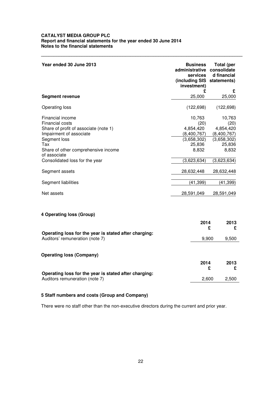| Year ended 30 June 2013                                                                                                                                                                                                                          | <b>Business</b><br>administrative<br>services<br>(including SIS statements)<br>investment)                | <b>Total (per</b><br>consolidate<br>d financial                                                           |
|--------------------------------------------------------------------------------------------------------------------------------------------------------------------------------------------------------------------------------------------------|-----------------------------------------------------------------------------------------------------------|-----------------------------------------------------------------------------------------------------------|
| <b>Segment revenue</b>                                                                                                                                                                                                                           | £<br>25,000                                                                                               | £<br>25,000                                                                                               |
| Operating loss                                                                                                                                                                                                                                   | (122, 698)                                                                                                | (122, 698)                                                                                                |
| Financial income<br><b>Financial costs</b><br>Share of profit of associate (note 1)<br>Impairment of associate<br>Segment loss<br>Tax<br>Share of other comprehensive income<br>of associate<br>Consolidated loss for the year<br>Segment assets | 10,763<br>(20)<br>4,854,420<br>(8,400,767)<br>(3,658,302)<br>25,836<br>8,832<br>(3,623,634)<br>28,632,448 | 10,763<br>(20)<br>4,854,420<br>(8,400,767)<br>(3,658,302)<br>25,836<br>8,832<br>(3,623,634)<br>28,632,448 |
| Segment liabilities                                                                                                                                                                                                                              | (41, 399)                                                                                                 | (41, 399)                                                                                                 |
| Net assets                                                                                                                                                                                                                                       | 28,591,049                                                                                                | 28,591,049                                                                                                |
| 4 Operating loss (Group)                                                                                                                                                                                                                         | 2014                                                                                                      | 2013                                                                                                      |
| Operating loss for the year is stated after charging:<br>Auditors' remuneration (note 7)                                                                                                                                                         |                                                                                                           | £<br>£<br>9,500<br>9,900                                                                                  |
| <b>Operating loss (Company)</b>                                                                                                                                                                                                                  |                                                                                                           |                                                                                                           |
| Operating loss for the year is stated after charging:                                                                                                                                                                                            | 2014                                                                                                      | 2013<br>£<br>£                                                                                            |
| Auditors remuneration (note 7)                                                                                                                                                                                                                   |                                                                                                           | 2,600<br>2,500                                                                                            |

**\_\_\_\_\_\_\_\_\_\_\_\_\_\_\_\_\_\_\_\_\_\_\_\_\_\_\_\_\_\_\_\_\_\_\_\_\_\_\_\_\_\_\_\_\_\_\_\_\_\_\_\_\_\_\_\_\_\_\_\_\_\_\_\_\_\_\_\_\_\_\_\_\_\_\_\_\_\_\_** 

# **5 Staff numbers and costs (Group and Company)**

There were no staff other than the non-executive directors during the current and prior year.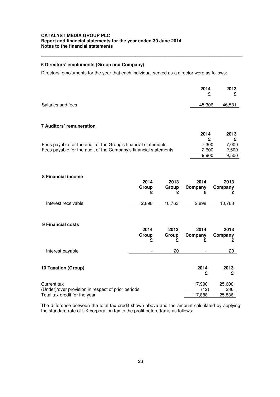# **6 Directors' emoluments (Group and Company)**

Directors' emoluments for the year that each individual served as a director were as follows:

|                   | 2014<br>£. | 2013   |
|-------------------|------------|--------|
| Salaries and fees | 45,306     | 46,531 |

**\_\_\_\_\_\_\_\_\_\_\_\_\_\_\_\_\_\_\_\_\_\_\_\_\_\_\_\_\_\_\_\_\_\_\_\_\_\_\_\_\_\_\_\_\_\_\_\_\_\_\_\_\_\_\_\_\_\_\_\_\_\_\_\_\_\_\_\_\_\_\_\_\_\_\_\_\_\_\_** 

#### **7 Auditors' remuneration**

|                                                                  | 2014  | 2013  |  |
|------------------------------------------------------------------|-------|-------|--|
|                                                                  |       |       |  |
| Fees payable for the audit of the Group's financial statements   | 7.300 | 7.000 |  |
| Fees payable for the audit of the Company's financial statements | 2.600 | 2.500 |  |
|                                                                  | 9.900 | 9.500 |  |

# **8 Financial income**

| 10,763<br>2,898<br>10,763                                          |
|--------------------------------------------------------------------|
| 2014<br>2013<br>2013<br>Group<br>Company<br>Company<br>£<br>£<br>£ |
| 20<br>20                                                           |
| 2014<br>2013<br>£<br>£                                             |
| 17,900<br>25,600<br>236<br>(12)<br>17,888<br>25,836                |
|                                                                    |

The difference between the total tax credit shown above and the amount calculated by applying the standard rate of UK corporation tax to the profit before tax is as follows: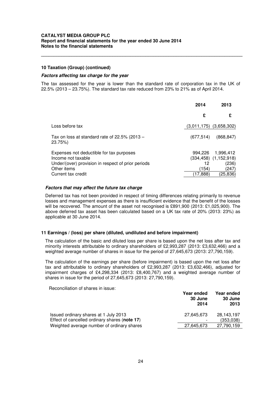#### **10 Taxation (Group) (continued)**

#### **Factors affecting tax charge for the year**

The tax assessed for the year is lower than the standard rate of corporation tax in the UK of 22.5% (2013 – 23.75%). The standard tax rate reduced from 23% to 21% as of April 2014.

**\_\_\_\_\_\_\_\_\_\_\_\_\_\_\_\_\_\_\_\_\_\_\_\_\_\_\_\_\_\_\_\_\_\_\_\_\_\_\_\_\_\_\_\_\_\_\_\_\_\_\_\_\_\_\_\_\_\_\_\_\_\_\_\_\_\_\_\_\_\_\_\_\_\_\_\_\_\_\_** 

|                                                                                                                      | 2014              | 2013                                               |
|----------------------------------------------------------------------------------------------------------------------|-------------------|----------------------------------------------------|
|                                                                                                                      | £                 | £                                                  |
| Loss before tax                                                                                                      | (3,011,175)       | (3,658,302)                                        |
| Tax on loss at standard rate of 22.5% (2013 $-$<br>23.75%)                                                           | (677, 514)        | (868.847)                                          |
| Expenses not deductible for tax purposes<br>Income not taxable<br>Under/(over) provision in respect of prior periods | 994,226<br>12     | 1,996,412<br>$(334, 458)$ $(1, 152, 918)$<br>(236) |
| Other items<br>Current tax credit                                                                                    | (154)<br>(17.888) | (247)<br>(25, 836)                                 |

#### **Factors that may affect the future tax charge**

Deferred tax has not been provided in respect of timing differences relating primarily to revenue losses and management expenses as there is insufficient evidence that the benefit of the losses will be recovered. The amount of the asset not recognised is £891,900 (2013: £1,025,900). The above deferred tax asset has been calculated based on a UK tax rate of 20% (2013: 23%) as applicable at 30 June 2014.

#### **11 Earnings / (loss) per share (diluted, undiluted and before impairment)**

The calculation of the basic and diluted loss per share is based upon the net loss after tax and minority interests attributable to ordinary shareholders of £2,993,287 (2013: £3,632,466) and a weighted average number of shares in issue for the period of 27,645,673 (2013: 27,790,159).

The calculation of the earnings per share (before impairment) is based upon the net loss after tax and attributable to ordinary shareholders of £2,993,287 (2013: £3,632,466), adjusted for impairment charges of £4,298,334 (2013: £8,400,767) and a weighted average number of shares in issue for the period of 27,645,673 (2013: 27,790,159).

Reconciliation of shares in issue:

|                                               | Year ended<br>30 June<br>2014 | Year ended<br>30 June<br>2013 |
|-----------------------------------------------|-------------------------------|-------------------------------|
| Issued ordinary shares at 1 July 2013         | 27,645,673                    | 28,143,197                    |
| Effect of cancelled ordinary shares (note 17) |                               | (353,038)                     |
| Weighted average number of ordinary shares    | 27,645,673                    | 27,790,159                    |
|                                               |                               |                               |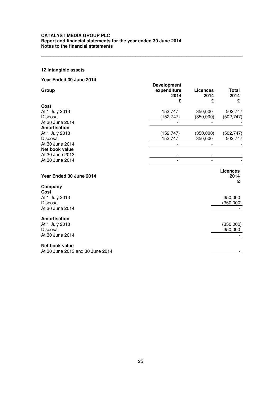# **12 Intangible assets**

| Year Ended 30 June 2014                            |                                                |                              |                              |
|----------------------------------------------------|------------------------------------------------|------------------------------|------------------------------|
| Group                                              | <b>Development</b><br>expenditure<br>2014<br>£ | <b>Licences</b><br>2014<br>£ | Total<br>2014<br>£           |
| Cost                                               |                                                |                              |                              |
| At 1 July 2013                                     | 152,747                                        | 350,000                      | 502,747                      |
| Disposal                                           | (152, 747)                                     | (350,000)                    | (502,747)                    |
| At 30 June 2014                                    |                                                |                              |                              |
| Amortisation                                       |                                                |                              |                              |
| At 1 July 2013                                     | (152, 747)                                     | (350,000)                    | (502, 747)                   |
| Disposal                                           | 152,747                                        | 350,000                      | 502,747                      |
| At 30 June 2014                                    |                                                |                              |                              |
| Net book value                                     |                                                |                              |                              |
| At 30 June 2013                                    |                                                |                              |                              |
| At 30 June 2014                                    |                                                | $\overline{a}$               |                              |
| Year Ended 30 June 2014                            |                                                |                              | <b>Licences</b><br>2014<br>£ |
| Company                                            |                                                |                              |                              |
| Cost                                               |                                                |                              |                              |
| At 1 July 2013                                     |                                                |                              | 350,000                      |
| Disposal                                           |                                                |                              | (350,000)                    |
| At 30 June 2014                                    |                                                |                              |                              |
| Amortisation                                       |                                                |                              |                              |
| At 1 July 2013                                     |                                                |                              | (350,000)                    |
| Disposal                                           |                                                |                              | 350,000                      |
| At 30 June 2014                                    |                                                |                              |                              |
|                                                    |                                                |                              |                              |
| Net book value<br>At 30 June 2013 and 30 June 2014 |                                                |                              |                              |
|                                                    |                                                |                              |                              |

**\_\_\_\_\_\_\_\_\_\_\_\_\_\_\_\_\_\_\_\_\_\_\_\_\_\_\_\_\_\_\_\_\_\_\_\_\_\_\_\_\_\_\_\_\_\_\_\_\_\_\_\_\_\_\_\_\_\_\_\_\_\_\_\_\_\_\_\_\_\_\_\_\_\_\_\_\_\_\_**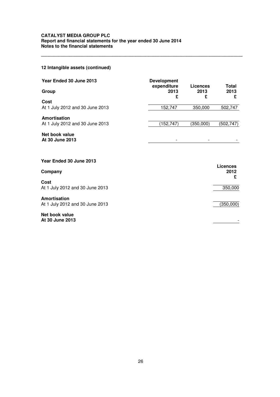# **12 Intangible assets (continued)**

| Year Ended 30 June 2013                         | <b>Development</b><br>expenditure | <b>Licences</b> | Total                        |
|-------------------------------------------------|-----------------------------------|-----------------|------------------------------|
| Group                                           | 2013<br>£                         | 2013<br>£       | 2013<br>£                    |
| Cost<br>At 1 July 2012 and 30 June 2013         | 152,747                           | 350,000         | 502,747                      |
| Amortisation<br>At 1 July 2012 and 30 June 2013 | (152, 747)                        | (350,000)       | (502, 747)                   |
| Net book value<br>At 30 June 2013               |                                   |                 |                              |
| Year Ended 30 June 2013                         |                                   |                 |                              |
| Company                                         |                                   |                 | <b>Licences</b><br>2012<br>£ |
| Cost<br>At 1 July 2012 and 30 June 2013         |                                   |                 | 350,000                      |
| Amortisation<br>At 1 July 2012 and 30 June 2013 |                                   |                 | (350,000)                    |

**\_\_\_\_\_\_\_\_\_\_\_\_\_\_\_\_\_\_\_\_\_\_\_\_\_\_\_\_\_\_\_\_\_\_\_\_\_\_\_\_\_\_\_\_\_\_\_\_\_\_\_\_\_\_\_\_\_\_\_\_\_\_\_\_\_\_\_\_\_\_\_\_\_\_\_\_\_\_\_** 

**Net book value At 30 June 2013** -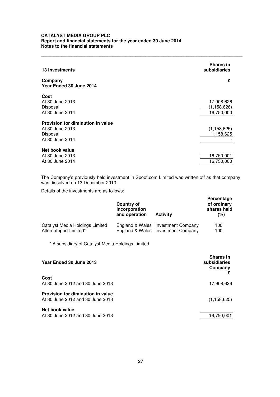| <b>13 Investments</b>              | <b>Shares in</b><br>subsidiaries |
|------------------------------------|----------------------------------|
| Company<br>Year Ended 30 June 2014 | £                                |
| Cost                               |                                  |
| At 30 June 2013                    | 17,908,626                       |
| Disposal                           | (1, 158, 626)                    |
| At 30 June 2014                    | 16,750,000                       |
| Provision for diminution in value  |                                  |
| At 30 June 2013                    | (1, 158, 625)                    |
| Disposal                           | 1,158,625                        |
| At 30 June 2014                    |                                  |
| Net book value                     |                                  |
| At 30 June 2013                    | 16,750,001                       |
| At 30 June 2014                    | 16,750,000                       |

**\_\_\_\_\_\_\_\_\_\_\_\_\_\_\_\_\_\_\_\_\_\_\_\_\_\_\_\_\_\_\_\_\_\_\_\_\_\_\_\_\_\_\_\_\_\_\_\_\_\_\_\_\_\_\_\_\_\_\_\_\_\_\_\_\_\_\_\_\_\_\_\_\_\_\_\_\_\_\_** 

The Company's previously held investment in Spoof.com Limited was written off as that company was dissolved on 13 December 2013.

Details of the investments are as follows:

|                                                   | Country of<br>incorporation<br>and operation | <b>Activity</b>                    | Percentage<br>of ordinary<br>shares held<br>(%) |
|---------------------------------------------------|----------------------------------------------|------------------------------------|-------------------------------------------------|
| Catalyst Media Holdings Limited                   |                                              | England & Wales Investment Company | 100                                             |
| Alternateport Limited*                            |                                              | England & Wales Investment Company | 100                                             |
| * A subsidiary of Catalyst Media Holdings Limited |                                              |                                    |                                                 |

| Year Ended 30 June 2013                                               | <b>Shares in</b><br>subsidiaries<br>Company |
|-----------------------------------------------------------------------|---------------------------------------------|
| Cost<br>At 30 June 2012 and 30 June 2013                              | 17,908,626                                  |
| Provision for diminution in value<br>At 30 June 2012 and 30 June 2013 | (1, 158, 625)                               |
| Net book value<br>At 30 June 2012 and 30 June 2013                    | 16,750,001                                  |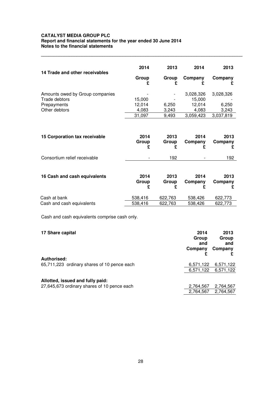|                                                                                  | 2014                                | 2013                    | 2014                                                | 2013                                     |
|----------------------------------------------------------------------------------|-------------------------------------|-------------------------|-----------------------------------------------------|------------------------------------------|
| 14 Trade and other receivables                                                   | Group<br>£                          | Group<br>£              | Company                                             | Company                                  |
| Amounts owed by Group companies<br>Trade debtors<br>Prepayments<br>Other debtors | 15,000<br>12,014<br>4,083<br>31,097 | 6,250<br>3,243<br>9,493 | 3,028,326<br>15,000<br>12,014<br>4,083<br>3,059,423 | 3,028,326<br>6,250<br>3,243<br>3,037,819 |
| 15 Corporation tax receivable                                                    | 2014<br>Group<br>£                  | 2013<br>Group<br>£      | 2014<br>Company<br>£                                | 2013<br>Company<br>£                     |
| Consortium relief receivable                                                     |                                     | 192                     |                                                     | 192                                      |
| 16 Cash and cash equivalents                                                     | 2014<br>Group<br>£                  | 2013<br>Group<br>£      | 2014<br>Company<br>£                                | 2013<br>Company<br>£                     |
| Cash at bank<br>Cash and cash equivalents                                        | 538,416<br>538,416                  | 622,763<br>622,763      | 538,426<br>538,426                                  | 622,773<br>622,773                       |

**\_\_\_\_\_\_\_\_\_\_\_\_\_\_\_\_\_\_\_\_\_\_\_\_\_\_\_\_\_\_\_\_\_\_\_\_\_\_\_\_\_\_\_\_\_\_\_\_\_\_\_\_\_\_\_\_\_\_\_\_\_\_\_\_\_\_\_\_\_\_\_\_\_\_\_\_\_\_\_** 

Cash and cash equivalents comprise cash only.

| 17 Share capital                                           | 2014<br>Group<br>and<br>Company | 2013<br>Group<br>and<br>Company |
|------------------------------------------------------------|---------------------------------|---------------------------------|
| Authorised:<br>65,711,223 ordinary shares of 10 pence each | 6,571,122                       | 6,571,122                       |
|                                                            | 6,571,122                       | 6,571,122                       |
| Allotted, issued and fully paid:                           |                                 |                                 |
| 27,645,673 ordinary shares of 10 pence each                | 2,764,567                       | 2,764,567                       |
|                                                            | 2,764,567                       | 2,764,567                       |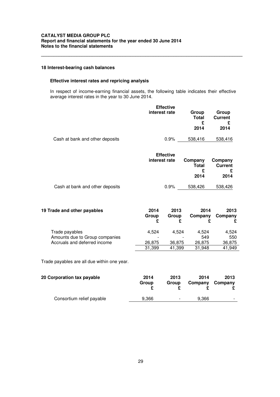### **18 Interest-bearing cash balances**

# **Effective interest rates and repricing analysis**

 In respect of income-earning financial assets, the following table indicates their effective average interest rates in the year to 30 June 2014.

**\_\_\_\_\_\_\_\_\_\_\_\_\_\_\_\_\_\_\_\_\_\_\_\_\_\_\_\_\_\_\_\_\_\_\_\_\_\_\_\_\_\_\_\_\_\_\_\_\_\_\_\_\_\_\_\_\_\_\_\_\_\_\_\_\_\_\_\_\_\_\_\_\_\_\_\_\_\_\_** 

|                           |                    | Group<br><b>Total</b><br>£<br>2014                                     | Group<br><b>Current</b><br>£<br>2014   |
|---------------------------|--------------------|------------------------------------------------------------------------|----------------------------------------|
|                           | $0.9\%$            | 538,416                                                                | 538,416                                |
|                           |                    | Company<br><b>Total</b><br>£<br>2014                                   | Company<br><b>Current</b><br>£<br>2014 |
|                           | 0.9%               | 538,426                                                                | 538,426                                |
| 2014<br>Group<br>£        | 2013<br>Group<br>£ | 2014<br>Company<br>£                                                   | 2013<br>Company<br>£                   |
| 4,524<br>26,875<br>31,399 |                    | 4,524<br>549<br>26,875<br>31,948                                       | 4,524<br>550<br>36,875<br>41,949       |
|                           |                    | <b>Effective</b><br>interest rate<br><b>Effective</b><br>interest rate | 4,524<br>36,875<br>41,399              |

Trade payables are all due within one year.

| 20 Corporation tax payable | 2014  | 2013  | 2014    | 2013    |
|----------------------------|-------|-------|---------|---------|
|                            | Group | Group | Company | Company |
| Consortium relief payable  | 9.366 | ۰     | 9.366   | -       |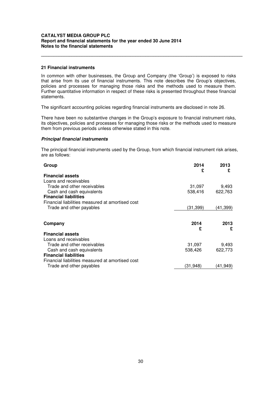## **21 Financial instruments**

In common with other businesses, the Group and Company (the 'Group') is exposed to risks that arise from its use of financial instruments. This note describes the Group's objectives, policies and processes for managing those risks and the methods used to measure them. Further quantitative information in respect of these risks is presented throughout these financial statements.

**\_\_\_\_\_\_\_\_\_\_\_\_\_\_\_\_\_\_\_\_\_\_\_\_\_\_\_\_\_\_\_\_\_\_\_\_\_\_\_\_\_\_\_\_\_\_\_\_\_\_\_\_\_\_\_\_\_\_\_\_\_\_\_\_\_\_\_\_\_\_\_\_\_\_\_\_\_\_\_** 

The significant accounting policies regarding financial instruments are disclosed in note 26.

There have been no substantive changes in the Group's exposure to financial instrument risks, its objectives, policies and processes for managing those risks or the methods used to measure them from previous periods unless otherwise stated in this note.

#### **Principal financial instruments**

The principal financial instruments used by the Group, from which financial instrument risk arises, are as follows:

| Group                                            | 2014<br>£ | 2013<br>£ |
|--------------------------------------------------|-----------|-----------|
| <b>Financial assets</b>                          |           |           |
| Loans and receivables                            |           |           |
| Trade and other receivables                      | 31,097    | 9,493     |
| Cash and cash equivalents                        | 538,416   | 622,763   |
| <b>Financial liabilities</b>                     |           |           |
| Financial liabilities measured at amortised cost |           |           |
| Trade and other payables                         | (31, 399) | (41,399)  |
|                                                  |           |           |
|                                                  |           |           |
| Company                                          | 2014<br>£ | 2013<br>£ |
| <b>Financial assets</b>                          |           |           |
| Loans and receivables                            |           |           |
| Trade and other receivables                      | 31,097    | 9,493     |
| Cash and cash equivalents                        | 538,426   | 622,773   |
| <b>Financial liabilities</b>                     |           |           |
| Financial liabilities measured at amortised cost |           |           |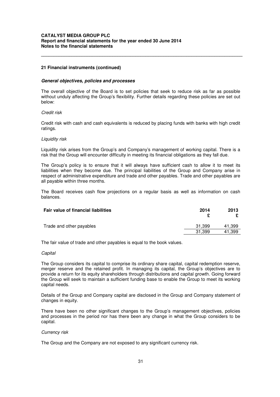# **21 Financial instruments (continued)**

#### **General objectives, policies and processes**

The overall objective of the Board is to set policies that seek to reduce risk as far as possible without unduly affecting the Group's flexibility. Further details regarding these policies are set out below:

**\_\_\_\_\_\_\_\_\_\_\_\_\_\_\_\_\_\_\_\_\_\_\_\_\_\_\_\_\_\_\_\_\_\_\_\_\_\_\_\_\_\_\_\_\_\_\_\_\_\_\_\_\_\_\_\_\_\_\_\_\_\_\_\_\_\_\_\_\_\_\_\_\_\_\_\_\_\_\_** 

#### Credit risk

Credit risk with cash and cash equivalents is reduced by placing funds with banks with high credit ratings.

#### Liquidity risk

Liquidity risk arises from the Group's and Company's management of working capital. There is a risk that the Group will encounter difficulty in meeting its financial obligations as they fall due.

The Group's policy is to ensure that it will always have sufficient cash to allow it to meet its liabilities when they become due. The principal liabilities of the Group and Company arise in respect of administrative expenditure and trade and other payables. Trade and other payables are all payable within three months.

The Board receives cash flow projections on a regular basis as well as information on cash balances.

| Fair value of financial liabilities | 2014   | 2013   |
|-------------------------------------|--------|--------|
| Trade and other payables            | 31.399 | 41,399 |
|                                     | 31.399 | 41,399 |

The fair value of trade and other payables is equal to the book values.

#### **Capital**

The Group considers its capital to comprise its ordinary share capital, capital redemption reserve, merger reserve and the retained profit. In managing its capital, the Group's objectives are to provide a return for its equity shareholders through distributions and capital growth. Going forward the Group will seek to maintain a sufficient funding base to enable the Group to meet its working capital needs.

Details of the Group and Company capital are disclosed in the Group and Company statement of changes in equity.

There have been no other significant changes to the Group's management objectives, policies and processes in the period nor has there been any change in what the Group considers to be capital.

### Currency risk

The Group and the Company are not exposed to any significant currency risk.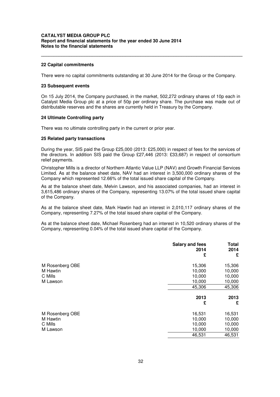#### **22 Capital commitments**

There were no capital commitments outstanding at 30 June 2014 for the Group or the Company.

**\_\_\_\_\_\_\_\_\_\_\_\_\_\_\_\_\_\_\_\_\_\_\_\_\_\_\_\_\_\_\_\_\_\_\_\_\_\_\_\_\_\_\_\_\_\_\_\_\_\_\_\_\_\_\_\_\_\_\_\_\_\_\_\_\_\_\_\_\_\_\_\_\_\_\_\_\_\_\_** 

#### **23 Subsequent events**

On 15 July 2014, the Company purchased, in the market, 502,272 ordinary shares of 10p each in Catalyst Media Group plc at a price of 50p per ordinary share. The purchase was made out of distributable reserves and the shares are currently held in Treasury by the Company.

#### **24 Ultimate Controlling party**

There was no ultimate controlling party in the current or prior year.

#### **25 Related party transactions**

During the year, SIS paid the Group £25,000 (2013: £25,000) in respect of fees for the services of the directors. In addition SIS paid the Group £27,446 (2013: £33,687) in respect of consortium relief payments.

Christopher Mills is a director of Northern Atlantic Value LLP (NAV) and Growth Financial Services Limited. As at the balance sheet date, NAV had an interest in 3,500,000 ordinary shares of the Company which represented 12.66% of the total issued share capital of the Company.

As at the balance sheet date, Melvin Lawson, and his associated companies, had an interest in 3,615,486 ordinary shares of the Company, representing 13.07% of the total issued share capital of the Company.

As at the balance sheet date, Mark Hawtin had an interest in 2,010,117 ordinary shares of the Company, representing 7.27% of the total issued share capital of the Company.

As at the balance sheet date, Michael Rosenberg had an interest in 10,520 ordinary shares of the Company, representing 0.04% of the total issued share capital of the Company.

|                 | <b>Salary and fees</b><br>2014<br>£ | <b>Total</b><br>2014<br>£ |
|-----------------|-------------------------------------|---------------------------|
| M Rosenberg OBE | 15,306                              | 15,306                    |
| M Hawtin        | 10,000                              | 10,000                    |
| C Mills         | 10,000                              | 10,000                    |
| M Lawson        | 10,000                              | 10,000                    |
|                 | 45,306                              | 45,306                    |
|                 | 2013                                | 2013                      |
|                 | £                                   | £                         |
| M Rosenberg OBE | 16,531                              | 16,531                    |
| M Hawtin        | 10,000                              | 10,000                    |
| C Mills         | 10,000                              | 10,000                    |
| M Lawson        | 10,000                              | 10,000                    |
|                 | 46,531                              | 46,531                    |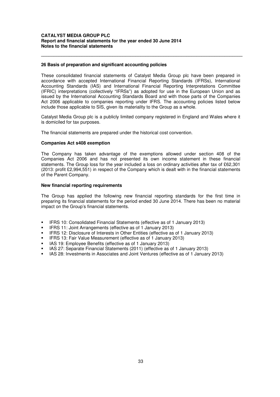## **26 Basis of preparation and significant accounting policies**

These consolidated financial statements of Catalyst Media Group plc have been prepared in accordance with accepted International Financial Reporting Standards (IFRSs), International Accounting Standards (IAS) and International Financial Reporting Interpretations Committee (IFRIC) interpretations (collectively "IFRSs") as adopted for use in the European Union and as issued by the International Accounting Standards Board and with those parts of the Companies Act 2006 applicable to companies reporting under IFRS. The accounting policies listed below include those applicable to SIS, given its materiality to the Group as a whole.

**\_\_\_\_\_\_\_\_\_\_\_\_\_\_\_\_\_\_\_\_\_\_\_\_\_\_\_\_\_\_\_\_\_\_\_\_\_\_\_\_\_\_\_\_\_\_\_\_\_\_\_\_\_\_\_\_\_\_\_\_\_\_\_\_\_\_\_\_\_\_\_\_\_\_\_\_\_\_\_** 

Catalyst Media Group plc is a publicly limited company registered in England and Wales where it is domiciled for tax purposes.

The financial statements are prepared under the historical cost convention.

#### **Companies Act s408 exemption**

The Company has taken advantage of the exemptions allowed under section 408 of the Companies Act 2006 and has not presented its own income statement in these financial statements. The Group loss for the year included a loss on ordinary activities after tax of £62,301 (2013: profit £2,994,551) in respect of the Company which is dealt with in the financial statements of the Parent Company.

#### **New financial reporting requirements**

The Group has applied the following new financial reporting standards for the first time in preparing its financial statements for the period ended 30 June 2014. There has been no material impact on the Group's financial statements.

- IFRS 10: Consolidated Financial Statements (effective as of 1 January 2013)
- IFRS 11: Joint Arrangements (effective as of 1 January 2013)
- IFRS 12: Disclosure of Interests in Other Entities (effective as of 1 January 2013)
- **IFRS 13: Fair Value Measurement (effective as of 1 January 2013)**
- IAS 19: Employee Benefits (effective as of 1 January 2013)
- **IAS 27: Separate Financial Statements (2011) (effective as of 1 January 2013)**
- IAS 28: Investments in Associates and Joint Ventures (effective as of 1 January 2013)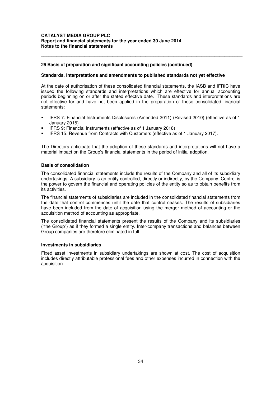## **26 Basis of preparation and significant accounting policies (continued)**

#### **Standards, interpretations and amendments to published standards not yet effective**

At the date of authorisation of these consolidated financial statements, the IASB and IFRIC have issued the following standards and interpretations which are effective for annual accounting periods beginning on or after the stated effective date. These standards and interpretations are not effective for and have not been applied in the preparation of these consolidated financial statements:

**\_\_\_\_\_\_\_\_\_\_\_\_\_\_\_\_\_\_\_\_\_\_\_\_\_\_\_\_\_\_\_\_\_\_\_\_\_\_\_\_\_\_\_\_\_\_\_\_\_\_\_\_\_\_\_\_\_\_\_\_\_\_\_\_\_\_\_\_\_\_\_\_\_\_\_\_\_\_\_** 

- IFRS 7: Financial Instruments Disclosures (Amended 2011) (Revised 2010) (effective as of 1 January 2015)
- IFRS 9: Financial Instruments (effective as of 1 January 2018)
- IFRS 15: Revenue from Contracts with Customers (effective as of 1 January 2017).

The Directors anticipate that the adoption of these standards and interpretations will not have a material impact on the Group's financial statements in the period of initial adoption.

#### **Basis of consolidation**

The consolidated financial statements include the results of the Company and all of its subsidiary undertakings. A subsidiary is an entity controlled, directly or indirectly, by the Company. Control is the power to govern the financial and operating policies of the entity so as to obtain benefits from its activities.

The financial statements of subsidiaries are included in the consolidated financial statements from the date that control commences until the date that control ceases. The results of subsidiaries have been included from the date of acquisition using the merger method of accounting or the acquisition method of accounting as appropriate.

The consolidated financial statements present the results of the Company and its subsidiaries ("the Group") as if they formed a single entity. Inter-company transactions and balances between Group companies are therefore eliminated in full.

#### **Investments in subsidiaries**

Fixed asset investments in subsidiary undertakings are shown at cost. The cost of acquisition includes directly attributable professional fees and other expenses incurred in connection with the acquisition.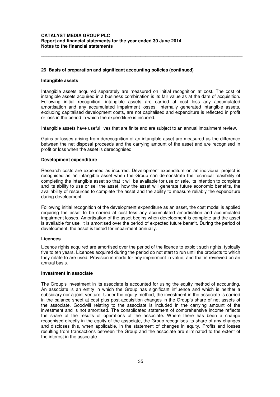## **26 Basis of preparation and significant accounting policies (continued)**

#### **Intangible assets**

Intangible assets acquired separately are measured on initial recognition at cost. The cost of intangible assets acquired in a business combination is its fair value as at the date of acquisition. Following initial recognition, intangible assets are carried at cost less any accumulated amortisation and any accumulated impairment losses. Internally generated intangible assets, excluding capitalised development costs, are not capitalised and expenditure is reflected in profit or loss in the period in which the expenditure is incurred.

**\_\_\_\_\_\_\_\_\_\_\_\_\_\_\_\_\_\_\_\_\_\_\_\_\_\_\_\_\_\_\_\_\_\_\_\_\_\_\_\_\_\_\_\_\_\_\_\_\_\_\_\_\_\_\_\_\_\_\_\_\_\_\_\_\_\_\_\_\_\_\_\_\_\_\_\_\_\_\_** 

Intangible assets have useful lives that are finite and are subject to an annual impairment review.

Gains or losses arising from derecognition of an intangible asset are measured as the difference between the net disposal proceeds and the carrying amount of the asset and are recognised in profit or loss when the asset is derecognised.

#### **Development expenditure**

Research costs are expensed as incurred. Development expenditure on an individual project is recognised as an intangible asset when the Group can demonstrate the technical feasibility of completing the intangible asset so that it will be available for use or sale, its intention to complete and its ability to use or sell the asset, how the asset will generate future economic benefits, the availability of resources to complete the asset and the ability to measure reliably the expenditure during development.

Following initial recognition of the development expenditure as an asset, the cost model is applied requiring the asset to be carried at cost less any accumulated amortisation and accumulated impairment losses. Amortisation of the asset begins when development is complete and the asset is available for use. It is amortised over the period of expected future benefit. During the period of development, the asset is tested for impairment annually.

#### **Licences**

Licence rights acquired are amortised over the period of the licence to exploit such rights, typically five to ten years. Licences acquired during the period do not start to run until the products to which they relate to are used. Provision is made for any impairment in value, and that is reviewed on an annual basis.

#### **Investment in associate**

The Group's investment in its associate is accounted for using the equity method of accounting. An associate is an entity in which the Group has significant influence and which is neither a subsidiary nor a joint venture. Under the equity method, the investment in the associate is carried in the balance sheet at cost plus post-acquisition changes in the Group's share of net assets of the associate. Goodwill relating to the associate is included in the carrying amount of the investment and is not amortised. The consolidated statement of comprehensive income reflects the share of the results of operations of the associate. Where there has been a change recognised directly in the equity of the associate, the Group recognises its share of any changes and discloses this, when applicable, in the statement of changes in equity. Profits and losses resulting from transactions between the Group and the associate are eliminated to the extent of the interest in the associate.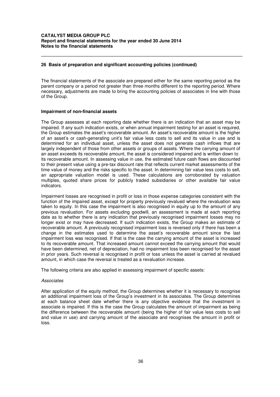## **26 Basis of preparation and significant accounting policies (continued)**

The financial statements of the associate are prepared either for the same reporting period as the parent company or a period not greater than three months different to the reporting period. Where necessary, adjustments are made to bring the accounting policies of associates in line with those of the Group.

**\_\_\_\_\_\_\_\_\_\_\_\_\_\_\_\_\_\_\_\_\_\_\_\_\_\_\_\_\_\_\_\_\_\_\_\_\_\_\_\_\_\_\_\_\_\_\_\_\_\_\_\_\_\_\_\_\_\_\_\_\_\_\_\_\_\_\_\_\_\_\_\_\_\_\_\_\_\_\_** 

#### **Impairment of non-financial assets**

The Group assesses at each reporting date whether there is an indication that an asset may be impaired. If any such indication exists, or when annual impairment testing for an asset is required, the Group estimates the asset's recoverable amount. An asset's recoverable amount is the higher of an asset's or cash-generating unit's fair value less costs to sell and its value in use and is determined for an individual asset, unless the asset does not generate cash inflows that are largely independent of those from other assets or groups of assets. Where the carrying amount of an asset exceeds its recoverable amount, the asset is considered impaired and is written down to its recoverable amount. In assessing value in use, the estimated future cash flows are discounted to their present value using a pre-tax discount rate that reflects current market assessments of the time value of money and the risks specific to the asset. In determining fair value less costs to sell, an appropriate valuation model is used. These calculations are corroborated by valuation multiples, quoted share prices for publicly traded subsidiaries or other available fair value indicators.

Impairment losses are recognised in profit or loss in those expense categories consistent with the function of the impaired asset, except for property previously revalued where the revaluation was taken to equity. In this case the impairment is also recognised in equity up to the amount of any previous revaluation. For assets excluding goodwill, an assessment is made at each reporting date as to whether there is any indication that previously recognised impairment losses may no longer exist or may have decreased. If such indication exists, the Group makes an estimate of recoverable amount. A previously recognised impairment loss is reversed only if there has been a change in the estimates used to determine the asset's recoverable amount since the last impairment loss was recognised. If that is the case the carrying amount of the asset is increased to its recoverable amount. That increased amount cannot exceed the carrying amount that would have been determined, net of depreciation, had no impairment loss been recognised for the asset in prior years. Such reversal is recognised in profit or loss unless the asset is carried at revalued amount, in which case the reversal is treated as a revaluation increase.

The following criteria are also applied in assessing impairment of specific assets:

#### **Associates**

After application of the equity method, the Group determines whether it is necessary to recognise an additional impairment loss of the Group's investment in its associates. The Group determines at each balance sheet date whether there is any objective evidence that the investment in associate is impaired. If this is the case the Group calculates the amount of impairment as being the difference between the recoverable amount (being the higher of fair value less costs to sell and value in use) and carrying amount of the associate and recognises the amount in profit or loss.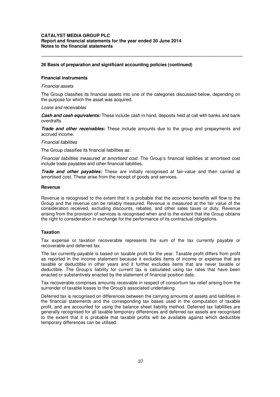## **26 Basis of preparation and significant accounting policies (continued)**

#### **Financial instruments**

#### Financial assets

The Group classifies its financial assets into one of the categories discussed below, depending on the purpose for which the asset was acquired.

**\_\_\_\_\_\_\_\_\_\_\_\_\_\_\_\_\_\_\_\_\_\_\_\_\_\_\_\_\_\_\_\_\_\_\_\_\_\_\_\_\_\_\_\_\_\_\_\_\_\_\_\_\_\_\_\_\_\_\_\_\_\_\_\_\_\_\_\_\_\_\_\_\_\_\_\_\_\_\_** 

#### Loans and receivables

**Cash and cash equivalents:** These include cash in hand, deposits held at call with banks and bank overdrafts.

**Trade and other receivables:** These include amounts due to the group and prepayments and accrued income.

#### Financial liabilities

The Group classifies its financial liabilities as:

Financial liabilities measured at amortised cost. The Group's financial liabilities at amortised cost include trade payables and other financial liabilities.

**Trade and other payables:** These are initially recognised at fair-value and then carried at amortised cost. These arise from the receipt of goods and services.

#### **Revenue**

Revenue is recognised to the extent that it is probable that the economic benefits will flow to the Group and the revenue can be reliably measured. Revenue is measured at the fair value of the consideration received, excluding discounts, rebates, and other sales taxes or duty. Revenue arising from the provision of services is recognised when and to the extent that the Group obtains the right to consideration in exchange for the performance of its contractual obligations.

#### **Taxation**

Tax expense or taxation recoverable represents the sum of the tax currently payable or recoverable and deferred tax.

The tax currently payable is based on taxable profit for the year. Taxable profit differs from profit as reported in the income statement because it excludes items of income or expense that are taxable or deductible in other years and it further excludes items that are never taxable or deductible. The Group's liability for current tax is calculated using tax rates that have been enacted or substantively enacted by the statement of financial position date.

Tax recoverable comprises amounts receivable in respect of consortium tax relief arising from the surrender of taxable losses to the Group's associated undertaking.

Deferred tax is recognised on differences between the carrying amounts of assets and liabilities in the financial statements and the corresponding tax bases used in the computation of taxable profit, and are accounted for using the balance sheet liability method. Deferred tax liabilities are generally recognised for all taxable temporary differences and deferred tax assets are recognised to the extent that it is probable that taxable profits will be available against which deductible temporary differences can be utilised.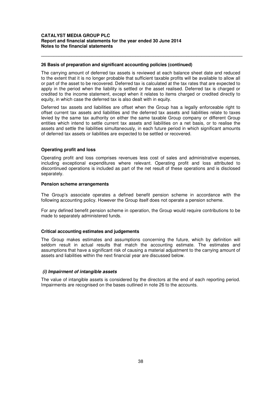#### **26 Basis of preparation and significant accounting policies (continued)**

The carrying amount of deferred tax assets is reviewed at each balance sheet date and reduced to the extent that it is no longer probable that sufficient taxable profits will be available to allow all or part of the asset to be recovered. Deferred tax is calculated at the tax rates that are expected to apply in the period when the liability is settled or the asset realised. Deferred tax is charged or credited to the income statement, except when it relates to items charged or credited directly to equity, in which case the deferred tax is also dealt with in equity.

**\_\_\_\_\_\_\_\_\_\_\_\_\_\_\_\_\_\_\_\_\_\_\_\_\_\_\_\_\_\_\_\_\_\_\_\_\_\_\_\_\_\_\_\_\_\_\_\_\_\_\_\_\_\_\_\_\_\_\_\_\_\_\_\_\_\_\_\_\_\_\_\_\_\_\_\_\_\_\_** 

Deferred tax assets and liabilities are offset when the Group has a legally enforceable right to offset current tax assets and liabilities and the deferred tax assets and liabilities relate to taxes levied by the same tax authority on either the same taxable Group company or different Group entities which intend to settle current tax assets and liabilities on a net basis, or to realise the assets and settle the liabilities simultaneously, in each future period in which significant amounts of deferred tax assets or liabilities are expected to be settled or recovered.

#### **Operating profit and loss**

Operating profit and loss comprises revenues less cost of sales and administrative expenses, including exceptional expenditures where relevant. Operating profit and loss attributed to discontinued operations is included as part of the net result of these operations and is disclosed separately.

## **Pension scheme arrangements**

The Group's associate operates a defined benefit pension scheme in accordance with the following accounting policy. However the Group itself does not operate a pension scheme.

For any defined benefit pension scheme in operation, the Group would require contributions to be made to separately administered funds.

# **Critical accounting estimates and judgements**

The Group makes estimates and assumptions concerning the future, which by definition will seldom result in actual results that match the accounting estimate. The estimates and assumptions that have a significant risk of causing a material adjustment to the carrying amount of assets and liabilities within the next financial year are discussed below.

# **(i) Impairment of intangible assets**

The value of intangible assets is considered by the directors at the end of each reporting period. Impairments are recognised on the bases outlined in note 26 to the accounts.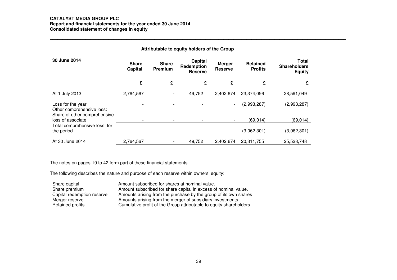# **CATALYST MEDIA GROUP PLC Report and financial statements for the year ended 30 June 2014 Consolidated statement of changes in equity \_\_\_\_\_\_\_\_\_\_\_\_\_\_\_\_\_\_\_\_\_\_\_\_\_\_\_\_\_\_\_\_\_\_\_\_\_\_\_\_\_\_\_\_\_\_\_\_\_\_\_\_\_\_\_\_\_\_\_\_\_\_\_\_\_\_\_\_\_\_\_\_\_\_\_\_\_\_\_\_\_\_\_\_\_\_\_\_\_\_\_\_\_\_\_\_\_\_\_\_\_\_\_\_\_\_\_\_\_\_\_\_\_\_\_\_**

|                                                                                |                         |                         | Attributable to equity holders of the Group |                                 |                                   |                                                      |
|--------------------------------------------------------------------------------|-------------------------|-------------------------|---------------------------------------------|---------------------------------|-----------------------------------|------------------------------------------------------|
| 30 June 2014                                                                   | <b>Share</b><br>Capital | <b>Share</b><br>Premium | Capital<br>Redemption<br><b>Reserve</b>     | <b>Merger</b><br><b>Reserve</b> | <b>Retained</b><br><b>Profits</b> | <b>Total</b><br><b>Shareholders</b><br><b>Equity</b> |
|                                                                                | £                       | £                       | £                                           | £                               | £                                 | £                                                    |
| At 1 July 2013                                                                 | 2,764,567               |                         | 49,752                                      | 2,402,674                       | 23,374,056                        | 28,591,049                                           |
| Loss for the year<br>Other comprehensive loss:<br>Share of other comprehensive |                         |                         |                                             | ۰.                              | (2,993,287)                       | (2,993,287)                                          |
| loss of associate                                                              |                         |                         |                                             | $\overline{\phantom{a}}$        | (69, 014)                         | (69, 014)                                            |
| Total comprehensive loss for<br>the period                                     |                         |                         |                                             | $\overline{\phantom{a}}$        | (3,062,301)                       | (3,062,301)                                          |
| At 30 June 2014                                                                | 2,764,567               |                         | 49,752                                      | 2,402,674                       | 20,311,755                        | 25,528,748                                           |

The notes on pages 19 to 42 form part of these financial statements.

| Share capital              | Amount subscribed for shares at nominal value.                      |
|----------------------------|---------------------------------------------------------------------|
| Share premium              | Amount subscribed for share capital in excess of nominal value.     |
| Capital redemption reserve | Amounts arising from the purchase by the group of its own shares    |
| Merger reserve             | Amounts arising from the merger of subsidiary investments.          |
| Retained profits           | Cumulative profit of the Group attributable to equity shareholders. |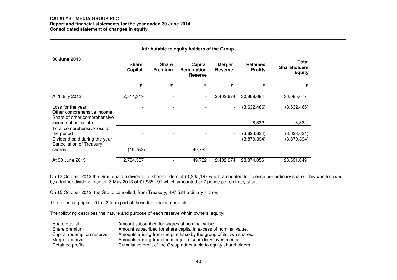# **CATALYST MEDIA GROUP PLC**

 **Report and financial statements for the year ended 30 June 2014** Consolidated statement of changes in equity

| Attributable to equity holders of the Group                                                                              |                                |                         |                                         |                                 |                                   |                                               |
|--------------------------------------------------------------------------------------------------------------------------|--------------------------------|-------------------------|-----------------------------------------|---------------------------------|-----------------------------------|-----------------------------------------------|
| 30 June 2013                                                                                                             | <b>Share</b><br><b>Capital</b> | <b>Share</b><br>Premium | Capital<br>Redemption<br><b>Reserve</b> | <b>Merger</b><br><b>Reserve</b> | <b>Retained</b><br><b>Profits</b> | Total<br><b>Shareholders</b><br><b>Equity</b> |
|                                                                                                                          | £                              | £                       | £                                       | £                               | £                                 | £                                             |
| At 1 July 2012                                                                                                           | 2,814,319                      |                         |                                         | 2,402,674                       | 30,868,084                        | 36,085,077                                    |
| Loss for the year<br>Other comprehensive income:<br>Share of other comprehensive                                         |                                |                         |                                         | ۰                               | (3,632,466)                       | (3,632,466)                                   |
| income of associate                                                                                                      |                                |                         |                                         |                                 | 8,832                             | 8,832                                         |
| Total comprehensive loss for<br>the period<br>Dividend paid during the year<br><b>Cancellation of Treasury</b><br>shares | (49, 752)                      |                         | 49,752                                  | ۰.                              | (3,623,634)<br>(3,870,394)        | (3,623,634)<br>(3,870,394)                    |
| At 30 June 2013                                                                                                          | 2,764,567                      |                         | 49,752                                  |                                 |                                   |                                               |
|                                                                                                                          |                                |                         |                                         | 2,402,674                       | 23,374,056                        | 28,591,049                                    |

On 12 October 2012 the Group paid a dividend to shareholders of £1,935,197 which amounted to 7 pence per ordinary share. This was followed by a further dividend paid on 3 May 2013 of £1,935,197 which amounted to 7 pence per ordinary share.

On 15 October 2012, the Group cancelled, from Treasury, 497,524 ordinary shares.

The notes on pages 19 to 42 form part of these financial statements.

| Share capital              | Amount subscribed for shares at nominal value.                      |
|----------------------------|---------------------------------------------------------------------|
| Share premium              | Amount subscribed for share capital in excess of nominal value.     |
| Capital redemption reserve | Amounts arising from the purchase by the group of its own shares.   |
| Merger reserve             | Amounts arising from the merger of subsidiary investments.          |
| Retained profits           | Cumulative profit of the Group attributable to equity shareholders. |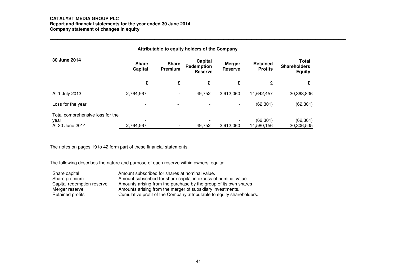# **CATALYST MEDIA GROUP PLC Report and financial statements for the year ended 30 June 2014 Company statement of changes in equity \_\_\_\_\_\_\_\_\_\_\_\_\_\_\_\_\_\_\_\_\_\_\_\_\_\_\_\_\_\_\_\_\_\_\_\_\_\_\_\_\_\_\_\_\_\_\_\_\_\_\_\_\_\_\_\_\_\_\_\_\_\_\_\_\_\_\_\_\_\_\_\_\_\_\_\_\_\_\_\_\_\_\_\_\_\_\_\_\_\_\_\_\_\_\_\_\_\_\_\_\_\_\_\_\_\_\_\_\_\_\_\_\_\_\_\_**

| Attributable to equity holders of the Company               |                         |                          |                                         |                                 |                                   |                                                      |
|-------------------------------------------------------------|-------------------------|--------------------------|-----------------------------------------|---------------------------------|-----------------------------------|------------------------------------------------------|
| 30 June 2014                                                | <b>Share</b><br>Capital | <b>Share</b><br>Premium  | Capital<br>Redemption<br><b>Reserve</b> | <b>Merger</b><br><b>Reserve</b> | <b>Retained</b><br><b>Profits</b> | <b>Total</b><br><b>Shareholders</b><br><b>Equity</b> |
|                                                             | £                       | £                        | £                                       | £                               | £                                 | £                                                    |
| At 1 July 2013                                              | 2,764,567               | $\blacksquare$           | 49,752                                  | 2,912,060                       | 14,642,457                        | 20,368,836                                           |
| Loss for the year                                           | ۰                       |                          |                                         | $\overline{\phantom{a}}$        | (62, 301)                         | (62, 301)                                            |
| Total comprehensive loss for the<br>year<br>At 30 June 2014 | 2,764,567               | $\overline{\phantom{a}}$ | 49,752                                  | 2,912,060                       | (62.301)<br>14,580,156            | (62, 301)<br>20,306,535                              |

The notes on pages 19 to 42 form part of these financial statements.

| Share capital              | Amount subscribed for shares at nominal value.                        |
|----------------------------|-----------------------------------------------------------------------|
| Share premium              | Amount subscribed for share capital in excess of nominal value.       |
| Capital redemption reserve | Amounts arising from the purchase by the group of its own shares      |
| Merger reserve             | Amounts arising from the merger of subsidiary investments.            |
| Retained profits           | Cumulative profit of the Company attributable to equity shareholders. |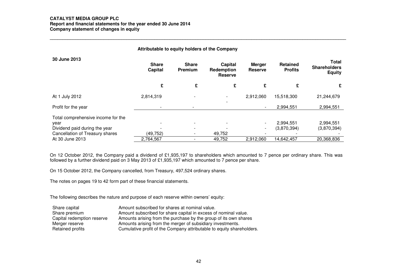# **CATALYST MEDIA GROUP PLC**

 **Report and financial statements for the year ended 30 June 2014 Company statement of changes in equity \_\_\_\_\_\_\_\_\_\_\_\_\_\_\_\_\_\_\_\_\_\_\_\_\_\_\_\_\_\_\_\_\_\_\_\_\_\_\_\_\_\_\_\_\_\_\_\_\_\_\_\_\_\_\_\_\_\_\_\_\_\_\_\_\_\_\_\_\_\_\_\_\_\_\_\_\_\_\_\_\_\_\_\_\_\_\_\_\_\_\_\_\_\_\_\_\_\_\_\_\_\_\_\_\_\_\_\_\_\_\_\_\_\_\_\_** 

| Attributable to equity holders of the Company                                                                  |                                |                                |                                         |                                                      |                                   |                                                      |
|----------------------------------------------------------------------------------------------------------------|--------------------------------|--------------------------------|-----------------------------------------|------------------------------------------------------|-----------------------------------|------------------------------------------------------|
| 30 June 2013                                                                                                   | <b>Share</b><br><b>Capital</b> | <b>Share</b><br><b>Premium</b> | Capital<br>Redemption<br><b>Reserve</b> | Merger<br><b>Reserve</b>                             | <b>Retained</b><br><b>Profits</b> | <b>Total</b><br><b>Shareholders</b><br><b>Equity</b> |
|                                                                                                                | £                              | £                              | £                                       | £                                                    | £                                 | £                                                    |
| At 1 July 2012                                                                                                 | 2,814,319                      |                                |                                         | 2,912,060                                            | 15,518,300                        | 21,244,679                                           |
| Profit for the year                                                                                            |                                |                                |                                         | $\overline{\phantom{a}}$                             | 2,994,551                         | 2,994,551                                            |
| Total comprehensive income for the<br>year<br>Dividend paid during the year<br>Cancellation of Treasury shares | (49, 752)                      | $\overline{\phantom{a}}$       | 49,752                                  | $\overline{\phantom{a}}$<br>$\overline{\phantom{a}}$ | 2,994,551<br>(3,870,394)          | 2,994,551<br>(3,870,394)                             |
| At 30 June 2013                                                                                                | 2,764,567                      | $\overline{\phantom{a}}$       | 49,752                                  | 2,912,060                                            | 14,642,457                        | 20,368,836                                           |

On 12 October 2012, the Company paid a dividend of £1,935,197 to shareholders which amounted to 7 pence per ordinary share. This was followed by a further dividend paid on 3 May 2013 of £1,935,197 which amounted to 7 pence per share.

On 15 October 2012, the Company cancelled, from Treasury, 497,524 ordinary shares.

The notes on pages 19 to 42 form part of these financial statements.

| Share capital              | Amount subscribed for shares at nominal value.                        |
|----------------------------|-----------------------------------------------------------------------|
| Share premium              | Amount subscribed for share capital in excess of nominal value.       |
| Capital redemption reserve | Amounts arising from the purchase by the group of its own shares      |
| Merger reserve             | Amounts arising from the merger of subsidiary investments.            |
| Retained profits           | Cumulative profit of the Company attributable to equity shareholders. |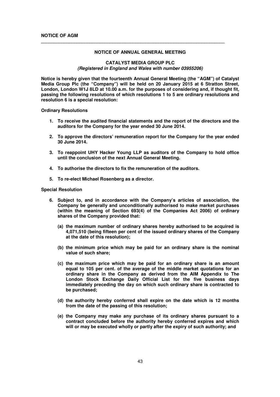#### **NOTICE OF ANNUAL GENERAL MEETING**

**\_\_\_\_\_\_\_\_\_\_\_\_\_\_\_\_\_\_\_\_\_\_\_\_\_\_\_\_\_\_\_\_\_\_\_\_\_\_\_\_\_\_\_\_\_\_\_\_\_\_\_\_\_\_\_\_\_\_\_\_\_\_\_\_\_\_\_\_\_\_\_\_** 

#### **CATALYST MEDIA GROUP PLC (Registered in England and Wales with number 03955206)**

**Notice is hereby given that the fourteenth Annual General Meeting (the "AGM") of Catalyst Media Group Plc (the "Company") will be held on 20 January 2015 at 6 Stratton Street, London, London W1J 8LD at 10.00 a.m. for the purposes of considering and, if thought fit, passing the following resolutions of which resolutions 1 to 5 are ordinary resolutions and resolution 6 is a special resolution:** 

**Ordinary Resolutions** 

- **1. To receive the audited financial statements and the report of the directors and the auditors for the Company for the year ended 30 June 2014.**
- **2. To approve the directors' remuneration report for the Company for the year ended 30 June 2014.**
- **3. To reappoint UHY Hacker Young LLP as auditors of the Company to hold office until the conclusion of the next Annual General Meeting.**
- **4. To authorise the directors to fix the remuneration of the auditors.**
- **5. To re-elect Michael Rosenberg as a director.**

#### **Special Resolution**

- **6. Subject to, and in accordance with the Company's articles of association, the Company be generally and unconditionally authorised to make market purchases (within the meaning of Section 693(4) of the Companies Act 2006) of ordinary shares of the Company provided that:** 
	- **(a) the maximum number of ordinary shares hereby authorised to be acquired is 4,071,510 (being fifteen per cent of the issued ordinary shares of the Company at the date of this resolution);**
	- **(b) the minimum price which may be paid for an ordinary share is the nominal value of such share;**
	- **(c) the maximum price which may be paid for an ordinary share is an amount equal to 105 per cent. of the average of the middle market quotations for an ordinary share in the Company as derived from the AIM Appendix to The London Stock Exchange Daily Official List for the five business days immediately preceding the day on which such ordinary share is contracted to be purchased;**
	- **(d) the authority hereby conferred shall expire on the date which is 12 months from the date of the passing of this resolution;**
	- **(e) the Company may make any purchase of its ordinary shares pursuant to a contract concluded before the authority hereby conferred expires and which will or may be executed wholly or partly after the expiry of such authority; and**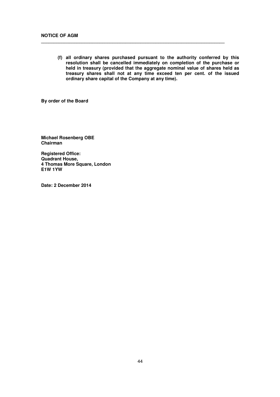**(f) all ordinary shares purchased pursuant to the authority conferred by this resolution shall be cancelled immediately on completion of the purchase or held in treasury (provided that the aggregate nominal value of shares held as treasury shares shall not at any time exceed ten per cent. of the issued ordinary share capital of the Company at any time).**

**\_\_\_\_\_\_\_\_\_\_\_\_\_\_\_\_\_\_\_\_\_\_\_\_\_\_\_\_\_\_\_\_\_\_\_\_\_\_\_\_\_\_\_\_\_\_\_\_\_\_\_\_\_\_\_\_\_\_\_\_\_\_\_\_\_\_\_\_\_\_\_\_** 

**By order of the Board**

**Michael Rosenberg OBE Chairman** 

**Registered Office: Quadrant House, 4 Thomas More Square, London E1W 1YW** 

**Date: 2 December 2014**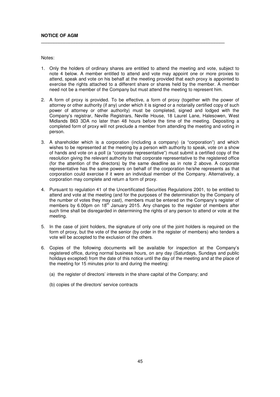Notes:

1. Only the holders of ordinary shares are entitled to attend the meeting and vote, subject to note 4 below. A member entitled to attend and vote may appoint one or more proxies to attend, speak and vote on his behalf at the meeting provided that each proxy is appointed to exercise the rights attached to a different share or shares held by the member. A member need not be a member of the Company but must attend the meeting to represent him.

**\_\_\_\_\_\_\_\_\_\_\_\_\_\_\_\_\_\_\_\_\_\_\_\_\_\_\_\_\_\_\_\_\_\_\_\_\_\_\_\_\_\_\_\_\_\_\_\_\_\_\_\_\_\_\_\_\_\_\_\_\_\_\_\_\_\_\_\_\_\_\_\_** 

- 2. A form of proxy is provided. To be effective, a form of proxy (together with the power of attorney or other authority (if any) under which it is signed or a notarially certified copy of such power of attorney or other authority) must be completed, signed and lodged with the Company's registrar, Neville Registrars, Neville House, 18 Laurel Lane, Halesowen, West Midlands B63 3DA no later than 48 hours before the time of the meeting. Depositing a completed form of proxy will not preclude a member from attending the meeting and voting in person.
- 3. A shareholder which is a corporation (including a company) (a "corporation") and which wishes to be represented at the meeting by a person with authority to speak, vote on a show of hands and vote on a poll (a "corporate representative") must submit a certified copy of the resolution giving the relevant authority to that corporate representative to the registered office (for the attention of the directors) by the same deadline as in note 2 above. A corporate representative has the same powers on behalf of the corporation he/she represents as that corporation could exercise if it were an individual member of the Company. Alternatively, a corporation may complete and return a form of proxy.
- 4. Pursuant to regulation 41 of the Uncertificated Securities Regulations 2001, to be entitled to attend and vote at the meeting (and for the purposes of the determination by the Company of the number of votes they may cast), members must be entered on the Company's register of members by 6.00pm on  $18<sup>th</sup>$  January 2015. Any changes to the register of members after such time shall be disregarded in determining the rights of any person to attend or vote at the meeting.
- 5. In the case of joint holders, the signature of only one of the joint holders is required on the form of proxy, but the vote of the senior (by order in the register of members) who tenders a vote will be accepted to the exclusion of the others.
- 6. Copies of the following documents will be available for inspection at the Company's registered office, during normal business hours, on any day (Saturdays, Sundays and public holidays excepted) from the date of this notice until the day of the meeting and at the place of the meeting for 15 minutes prior to and during the meeting:
	- (a) the register of directors' interests in the share capital of the Company; and
	- (b) copies of the directors' service contracts